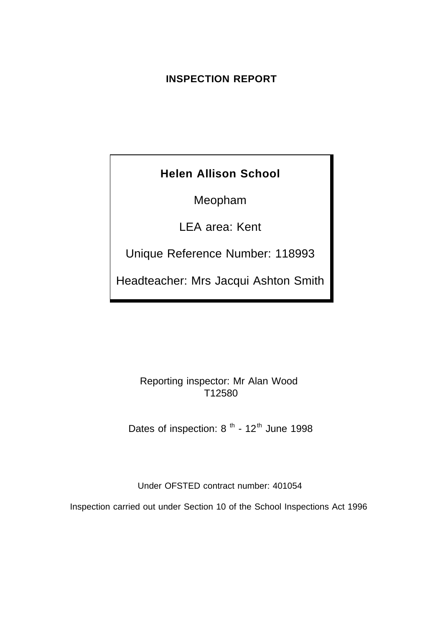## **INSPECTION REPORT**

# **Helen Allison School**

Meopham

LEA area: Kent

Unique Reference Number: 118993

Headteacher: Mrs Jacqui Ashton Smith

Reporting inspector: Mr Alan Wood T12580

Dates of inspection:  $8^{th}$  -  $12^{th}$  June 1998

Under OFSTED contract number: 401054

Inspection carried out under Section 10 of the School Inspections Act 1996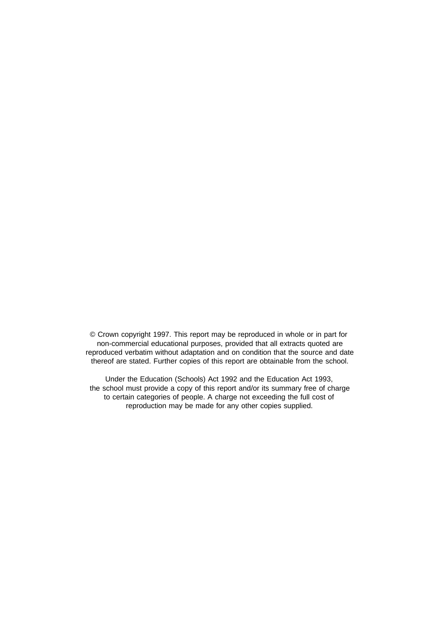© Crown copyright 1997. This report may be reproduced in whole or in part for non-commercial educational purposes, provided that all extracts quoted are reproduced verbatim without adaptation and on condition that the source and date thereof are stated. Further copies of this report are obtainable from the school.

Under the Education (Schools) Act 1992 and the Education Act 1993, the school must provide a copy of this report and/or its summary free of charge to certain categories of people. A charge not exceeding the full cost of reproduction may be made for any other copies supplied.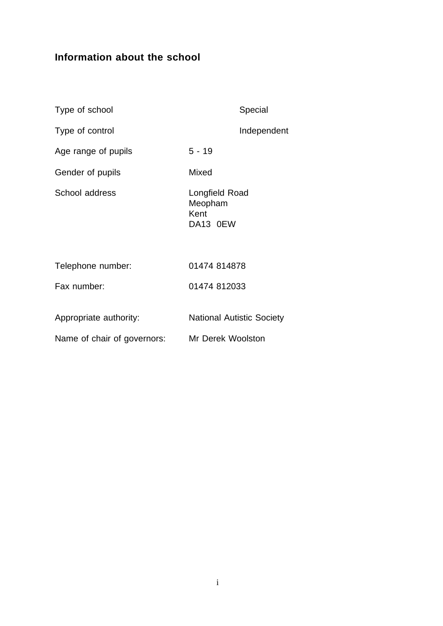# **Information about the school**

| Type of school              | Special                                       |
|-----------------------------|-----------------------------------------------|
| Type of control             | Independent                                   |
| Age range of pupils         | $5 - 19$                                      |
| Gender of pupils            | Mixed                                         |
| School address              | Longfield Road<br>Meopham<br>Kent<br>DA13 0EW |
| Telephone number:           | 01474 814878                                  |
| Fax number:                 | 01474 812033                                  |
| Appropriate authority:      | <b>National Autistic Society</b>              |
| Name of chair of governors: | Mr Derek Woolston                             |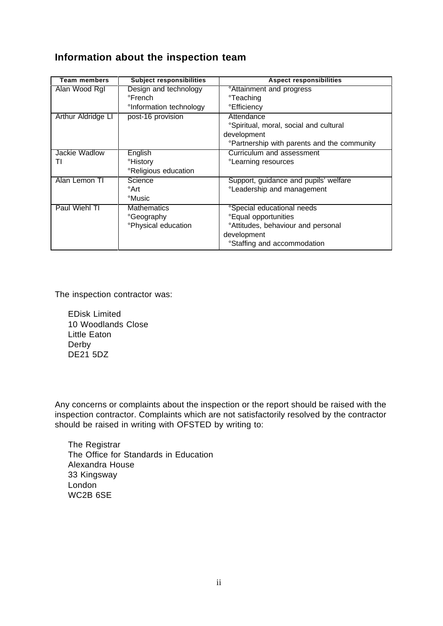# **Information about the inspection team**

| Team members       | <b>Subject responsibilities</b>     | <b>Aspect responsibilities</b>                    |
|--------------------|-------------------------------------|---------------------------------------------------|
| Alan Wood RgI      | Design and technology               | <sup>o</sup> Attainment and progress              |
|                    | °French                             | <sup>o</sup> Teaching                             |
|                    | <sup>o</sup> Information technology | °Efficiency                                       |
| Arthur Aldridge LI | post-16 provision                   | Attendance                                        |
|                    |                                     | °Spiritual, moral, social and cultural            |
|                    |                                     | development                                       |
|                    |                                     | <b>Partnership with parents and the community</b> |
| Jackie Wadlow      | English                             | Curriculum and assessment                         |
| Τl                 | °History                            | °Learning resources                               |
|                    | <sup>o</sup> Religious education    |                                                   |
| Alan Lemon TI      | Science                             | Support, guidance and pupils' welfare             |
|                    | °Art                                | °Leadership and management                        |
|                    | °Music                              |                                                   |
| Paul Wiehl TI      | <b>Mathematics</b>                  | <i><b>Special educational needs</b></i>           |
|                    | °Geography                          | <b><i>e</i>Equal opportunities</b>                |
|                    | °Physical education                 | <sup>o</sup> Attitudes, behaviour and personal    |
|                    |                                     | development                                       |
|                    |                                     | <sup>o</sup> Staffing and accommodation           |

The inspection contractor was:

EDisk Limited 10 Woodlands Close Little Eaton Derby DE21 5DZ

Any concerns or complaints about the inspection or the report should be raised with the inspection contractor. Complaints which are not satisfactorily resolved by the contractor should be raised in writing with OFSTED by writing to:

The Registrar The Office for Standards in Education Alexandra House 33 Kingsway London WC2B 6SE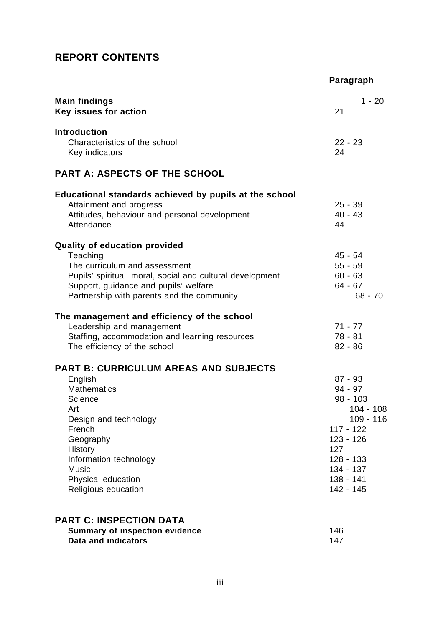# **REPORT CONTENTS**

|                                                                                                                                                                                                                                                   | Paragraph                                                                                                                                                 |
|---------------------------------------------------------------------------------------------------------------------------------------------------------------------------------------------------------------------------------------------------|-----------------------------------------------------------------------------------------------------------------------------------------------------------|
| <b>Main findings</b><br>Key issues for action                                                                                                                                                                                                     | $1 - 20$<br>21                                                                                                                                            |
| <b>Introduction</b><br>Characteristics of the school<br>Key indicators                                                                                                                                                                            | $22 - 23$<br>24                                                                                                                                           |
| <b>PART A: ASPECTS OF THE SCHOOL</b>                                                                                                                                                                                                              |                                                                                                                                                           |
| Educational standards achieved by pupils at the school<br>Attainment and progress<br>Attitudes, behaviour and personal development<br>Attendance                                                                                                  | $25 - 39$<br>$40 - 43$<br>44                                                                                                                              |
| <b>Quality of education provided</b><br>Teaching<br>The curriculum and assessment<br>Pupils' spiritual, moral, social and cultural development<br>Support, guidance and pupils' welfare<br>Partnership with parents and the community             | $45 - 54$<br>$55 - 59$<br>$60 - 63$<br>$64 - 67$<br>$68 - 70$                                                                                             |
| The management and efficiency of the school<br>Leadership and management<br>Staffing, accommodation and learning resources<br>The efficiency of the school                                                                                        | $71 - 77$<br>$78 - 81$<br>$82 - 86$                                                                                                                       |
| <b>PART B: CURRICULUM AREAS AND SUBJECTS</b><br>English<br><b>Mathematics</b><br>Science<br>Art<br>Design and technology<br>French<br>Geography<br>History<br>Information technology<br><b>Music</b><br>Physical education<br>Religious education | $87 - 93$<br>$94 - 97$<br>$98 - 103$<br>$104 - 108$<br>109 - 116<br>$117 - 122$<br>$123 - 126$<br>127<br>128 - 133<br>134 - 137<br>138 - 141<br>142 - 145 |
| <b>PART C: INSPECTION DATA</b><br><b>Summary of inspection evidence</b><br>Data and indicators                                                                                                                                                    | 146<br>147                                                                                                                                                |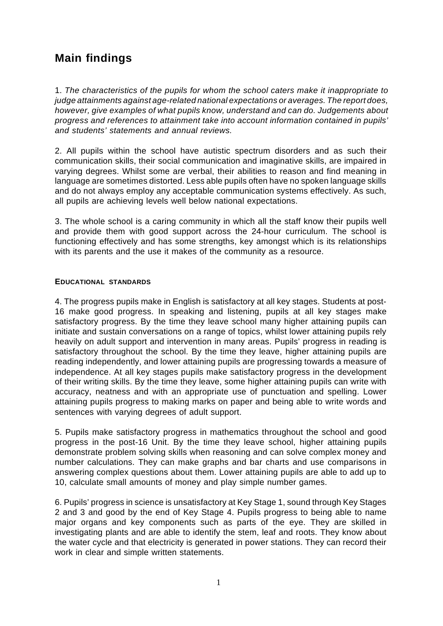# **Main findings**

1. *The characteristics of the pupils for whom the school caters make it inappropriate to judge attainments against age-related national expectations or averages. The report does, however, give examples of what pupils know, understand and can do. Judgements about progress and references to attainment take into account information contained in pupils' and students' statements and annual reviews.*

2. All pupils within the school have autistic spectrum disorders and as such their communication skills, their social communication and imaginative skills, are impaired in varying degrees. Whilst some are verbal, their abilities to reason and find meaning in language are sometimes distorted. Less able pupils often have no spoken language skills and do not always employ any acceptable communication systems effectively. As such, all pupils are achieving levels well below national expectations.

3. The whole school is a caring community in which all the staff know their pupils well and provide them with good support across the 24-hour curriculum. The school is functioning effectively and has some strengths, key amongst which is its relationships with its parents and the use it makes of the community as a resource.

### **EDUCATIONAL STANDARDS**

4. The progress pupils make in English is satisfactory at all key stages. Students at post-16 make good progress. In speaking and listening, pupils at all key stages make satisfactory progress. By the time they leave school many higher attaining pupils can initiate and sustain conversations on a range of topics, whilst lower attaining pupils rely heavily on adult support and intervention in many areas. Pupils' progress in reading is satisfactory throughout the school. By the time they leave, higher attaining pupils are reading independently, and lower attaining pupils are progressing towards a measure of independence. At all key stages pupils make satisfactory progress in the development of their writing skills. By the time they leave, some higher attaining pupils can write with accuracy, neatness and with an appropriate use of punctuation and spelling. Lower attaining pupils progress to making marks on paper and being able to write words and sentences with varying degrees of adult support.

5. Pupils make satisfactory progress in mathematics throughout the school and good progress in the post-16 Unit. By the time they leave school, higher attaining pupils demonstrate problem solving skills when reasoning and can solve complex money and number calculations. They can make graphs and bar charts and use comparisons in answering complex questions about them. Lower attaining pupils are able to add up to 10, calculate small amounts of money and play simple number games.

6. Pupils' progress in science is unsatisfactory at Key Stage 1, sound through Key Stages 2 and 3 and good by the end of Key Stage 4. Pupils progress to being able to name major organs and key components such as parts of the eye. They are skilled in investigating plants and are able to identify the stem, leaf and roots. They know about the water cycle and that electricity is generated in power stations. They can record their work in clear and simple written statements.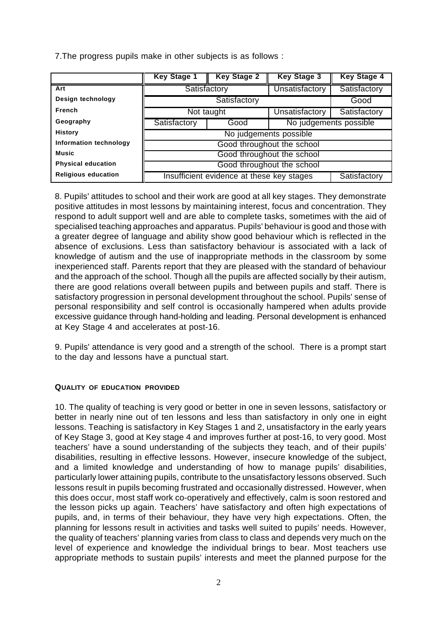7.The progress pupils make in other subjects is as follows :

|                            | <b>Key Stage 1</b>                        | <b>Key Stage 2</b>             | <b>Key Stage 3</b>    | <b>Key Stage 4</b> |
|----------------------------|-------------------------------------------|--------------------------------|-----------------------|--------------------|
| Art                        | Satisfactory                              |                                | Unsatisfactory        | Satisfactory       |
| Design technology          |                                           | Satisfactory                   |                       | Good               |
| French                     | Not taught                                |                                | <b>Unsatisfactory</b> | Satisfactory       |
| Geography                  | Satisfactory                              | No judgements possible<br>Good |                       |                    |
| <b>History</b>             | No judgements possible                    |                                |                       |                    |
| Information technology     | Good throughout the school                |                                |                       |                    |
| <b>Music</b>               | Good throughout the school                |                                |                       |                    |
| <b>Physical education</b>  | Good throughout the school                |                                |                       |                    |
| <b>Religious education</b> | Insufficient evidence at these key stages |                                |                       | Satisfactory       |

8. Pupils' attitudes to school and their work are good at all key stages. They demonstrate positive attitudes in most lessons by maintaining interest, focus and concentration. They respond to adult support well and are able to complete tasks, sometimes with the aid of specialised teaching approaches and apparatus. Pupils' behaviour is good and those with a greater degree of language and ability show good behaviour which is reflected in the absence of exclusions. Less than satisfactory behaviour is associated with a lack of knowledge of autism and the use of inappropriate methods in the classroom by some inexperienced staff. Parents report that they are pleased with the standard of behaviour and the approach of the school. Though all the pupils are affected socially by their autism, there are good relations overall between pupils and between pupils and staff. There is satisfactory progression in personal development throughout the school. Pupils' sense of personal responsibility and self control is occasionally hampered when adults provide excessive guidance through hand-holding and leading. Personal development is enhanced at Key Stage 4 and accelerates at post-16.

9. Pupils' attendance is very good and a strength of the school. There is a prompt start to the day and lessons have a punctual start.

### **QUALITY OF EDUCATION PROVIDED**

10. The quality of teaching is very good or better in one in seven lessons, satisfactory or better in nearly nine out of ten lessons and less than satisfactory in only one in eight lessons. Teaching is satisfactory in Key Stages 1 and 2, unsatisfactory in the early years of Key Stage 3, good at Key stage 4 and improves further at post-16, to very good. Most teachers' have a sound understanding of the subjects they teach, and of their pupils' disabilities, resulting in effective lessons. However, insecure knowledge of the subject, and a limited knowledge and understanding of how to manage pupils' disabilities, particularly lower attaining pupils, contribute to the unsatisfactory lessons observed. Such lessons result in pupils becoming frustrated and occasionally distressed. However, when this does occur, most staff work co-operatively and effectively, calm is soon restored and the lesson picks up again. Teachers' have satisfactory and often high expectations of pupils, and, in terms of their behaviour, they have very high expectations. Often, the planning for lessons result in activities and tasks well suited to pupils' needs. However, the quality of teachers' planning varies from class to class and depends very much on the level of experience and knowledge the individual brings to bear. Most teachers use appropriate methods to sustain pupils' interests and meet the planned purpose for the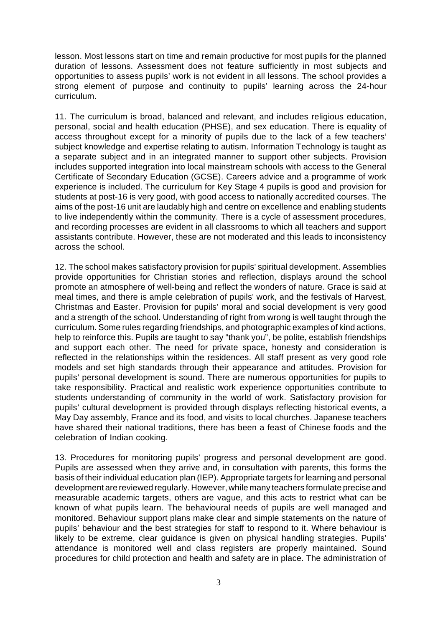lesson. Most lessons start on time and remain productive for most pupils for the planned duration of lessons. Assessment does not feature sufficiently in most subjects and opportunities to assess pupils' work is not evident in all lessons. The school provides a strong element of purpose and continuity to pupils' learning across the 24-hour curriculum.

11. The curriculum is broad, balanced and relevant, and includes religious education, personal, social and health education (PHSE), and sex education. There is equality of access throughout except for a minority of pupils due to the lack of a few teachers' subject knowledge and expertise relating to autism. Information Technology is taught as a separate subject and in an integrated manner to support other subjects. Provision includes supported integration into local mainstream schools with access to the General Certificate of Secondary Education (GCSE). Careers advice and a programme of work experience is included. The curriculum for Key Stage 4 pupils is good and provision for students at post-16 is very good, with good access to nationally accredited courses. The aims of the post-16 unit are laudably high and centre on excellence and enabling students to live independently within the community. There is a cycle of assessment procedures, and recording processes are evident in all classrooms to which all teachers and support assistants contribute. However, these are not moderated and this leads to inconsistency across the school.

12. The school makes satisfactory provision for pupils' spiritual development. Assemblies provide opportunities for Christian stories and reflection, displays around the school promote an atmosphere of well-being and reflect the wonders of nature. Grace is said at meal times, and there is ample celebration of pupils' work, and the festivals of Harvest, Christmas and Easter. Provision for pupils' moral and social development is very good and a strength of the school. Understanding of right from wrong is well taught through the curriculum. Some rules regarding friendships, and photographic examples of kind actions, help to reinforce this. Pupils are taught to say "thank you", be polite, establish friendships and support each other. The need for private space, honesty and consideration is reflected in the relationships within the residences. All staff present as very good role models and set high standards through their appearance and attitudes. Provision for pupils' personal development is sound. There are numerous opportunities for pupils to take responsibility. Practical and realistic work experience opportunities contribute to students understanding of community in the world of work. Satisfactory provision for pupils' cultural development is provided through displays reflecting historical events, a May Day assembly, France and its food, and visits to local churches. Japanese teachers have shared their national traditions, there has been a feast of Chinese foods and the celebration of Indian cooking.

13. Procedures for monitoring pupils' progress and personal development are good. Pupils are assessed when they arrive and, in consultation with parents, this forms the basis of their individual education plan (IEP). Appropriate targets for learning and personal development are reviewed regularly. However, while many teachers formulate precise and measurable academic targets, others are vague, and this acts to restrict what can be known of what pupils learn. The behavioural needs of pupils are well managed and monitored. Behaviour support plans make clear and simple statements on the nature of pupils' behaviour and the best strategies for staff to respond to it. Where behaviour is likely to be extreme, clear guidance is given on physical handling strategies. Pupils' attendance is monitored well and class registers are properly maintained. Sound procedures for child protection and health and safety are in place. The administration of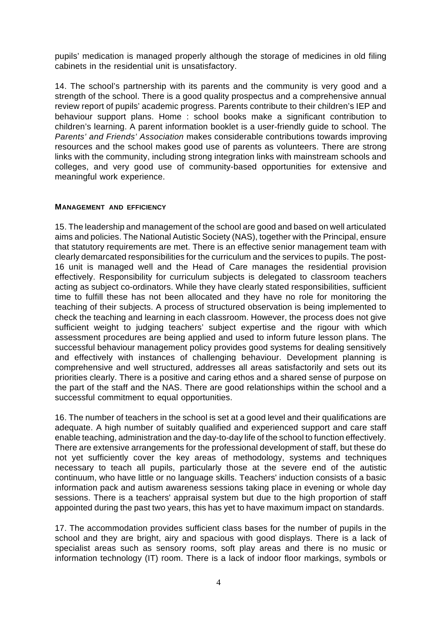pupils' medication is managed properly although the storage of medicines in old filing cabinets in the residential unit is unsatisfactory.

14. The school's partnership with its parents and the community is very good and a strength of the school. There is a good quality prospectus and a comprehensive annual review report of pupils' academic progress. Parents contribute to their children's IEP and behaviour support plans. Home : school books make a significant contribution to children's learning. A parent information booklet is a user-friendly guide to school. The *Parents' and Friends' Association* makes considerable contributions towards improving resources and the school makes good use of parents as volunteers. There are strong links with the community, including strong integration links with mainstream schools and colleges, and very good use of community-based opportunities for extensive and meaningful work experience.

### **MANAGEMENT AND EFFICIENCY**

15. The leadership and management of the school are good and based on well articulated aims and policies. The National Autistic Society (NAS), together with the Principal, ensure that statutory requirements are met. There is an effective senior management team with clearly demarcated responsibilities for the curriculum and the services to pupils. The post-16 unit is managed well and the Head of Care manages the residential provision effectively. Responsibility for curriculum subjects is delegated to classroom teachers acting as subject co-ordinators. While they have clearly stated responsibilities, sufficient time to fulfill these has not been allocated and they have no role for monitoring the teaching of their subjects. A process of structured observation is being implemented to check the teaching and learning in each classroom. However, the process does not give sufficient weight to judging teachers' subject expertise and the rigour with which assessment procedures are being applied and used to inform future lesson plans. The successful behaviour management policy provides good systems for dealing sensitively and effectively with instances of challenging behaviour. Development planning is comprehensive and well structured, addresses all areas satisfactorily and sets out its priorities clearly. There is a positive and caring ethos and a shared sense of purpose on the part of the staff and the NAS. There are good relationships within the school and a successful commitment to equal opportunities.

16. The number of teachers in the school is set at a good level and their qualifications are adequate. A high number of suitably qualified and experienced support and care staff enable teaching, administration and the day-to-day life of the school to function effectively. There are extensive arrangements for the professional development of staff, but these do not yet sufficiently cover the key areas of methodology, systems and techniques necessary to teach all pupils, particularly those at the severe end of the autistic continuum, who have little or no language skills. Teachers' induction consists of a basic information pack and autism awareness sessions taking place in evening or whole day sessions. There is a teachers' appraisal system but due to the high proportion of staff appointed during the past two years, this has yet to have maximum impact on standards.

17. The accommodation provides sufficient class bases for the number of pupils in the school and they are bright, airy and spacious with good displays. There is a lack of specialist areas such as sensory rooms, soft play areas and there is no music or information technology (IT) room. There is a lack of indoor floor markings, symbols or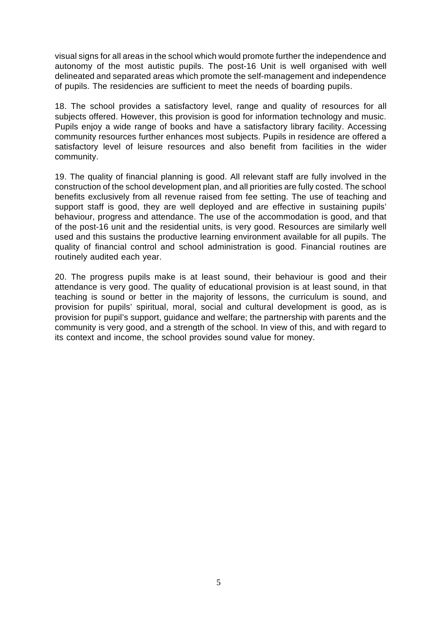visual signs for all areas in the school which would promote further the independence and autonomy of the most autistic pupils. The post-16 Unit is well organised with well delineated and separated areas which promote the self-management and independence of pupils. The residencies are sufficient to meet the needs of boarding pupils.

18. The school provides a satisfactory level, range and quality of resources for all subjects offered. However, this provision is good for information technology and music. Pupils enjoy a wide range of books and have a satisfactory library facility. Accessing community resources further enhances most subjects. Pupils in residence are offered a satisfactory level of leisure resources and also benefit from facilities in the wider community.

19. The quality of financial planning is good. All relevant staff are fully involved in the construction of the school development plan, and all priorities are fully costed. The school benefits exclusively from all revenue raised from fee setting. The use of teaching and support staff is good, they are well deployed and are effective in sustaining pupils' behaviour, progress and attendance. The use of the accommodation is good, and that of the post-16 unit and the residential units, is very good. Resources are similarly well used and this sustains the productive learning environment available for all pupils. The quality of financial control and school administration is good. Financial routines are routinely audited each year.

20. The progress pupils make is at least sound, their behaviour is good and their attendance is very good. The quality of educational provision is at least sound, in that teaching is sound or better in the majority of lessons, the curriculum is sound, and provision for pupils' spiritual, moral, social and cultural development is good, as is provision for pupil's support, guidance and welfare; the partnership with parents and the community is very good, and a strength of the school. In view of this, and with regard to its context and income, the school provides sound value for money.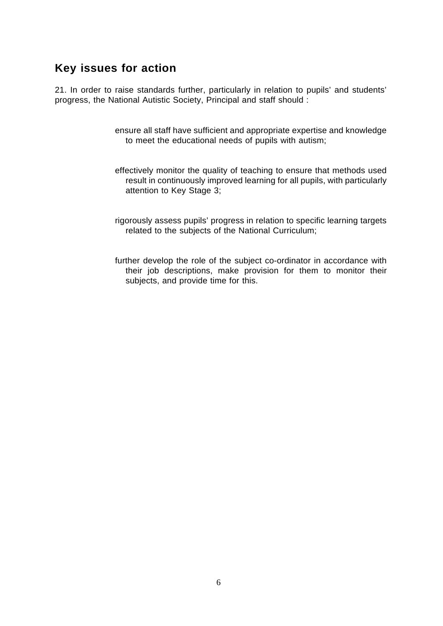# **Key issues for action**

21. In order to raise standards further, particularly in relation to pupils' and students' progress, the National Autistic Society, Principal and staff should :

- ensure all staff have sufficient and appropriate expertise and knowledge to meet the educational needs of pupils with autism;
- effectively monitor the quality of teaching to ensure that methods used result in continuously improved learning for all pupils, with particularly attention to Key Stage 3;
- rigorously assess pupils' progress in relation to specific learning targets related to the subjects of the National Curriculum;
- further develop the role of the subject co-ordinator in accordance with their job descriptions, make provision for them to monitor their subjects, and provide time for this.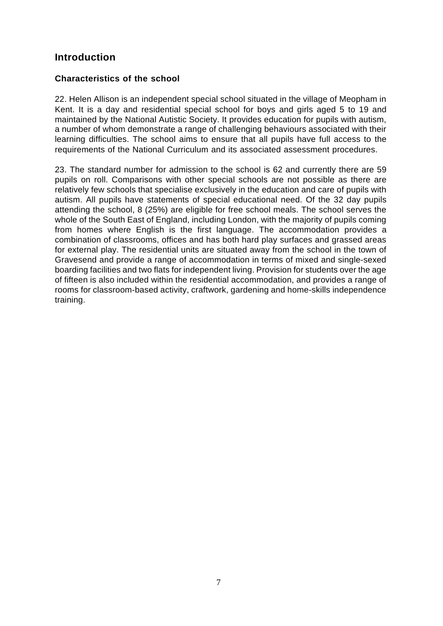# **Introduction**

### **Characteristics of the school**

22. Helen Allison is an independent special school situated in the village of Meopham in Kent. It is a day and residential special school for boys and girls aged 5 to 19 and maintained by the National Autistic Society. It provides education for pupils with autism, a number of whom demonstrate a range of challenging behaviours associated with their learning difficulties. The school aims to ensure that all pupils have full access to the requirements of the National Curriculum and its associated assessment procedures.

23. The standard number for admission to the school is 62 and currently there are 59 pupils on roll. Comparisons with other special schools are not possible as there are relatively few schools that specialise exclusively in the education and care of pupils with autism. All pupils have statements of special educational need. Of the 32 day pupils attending the school, 8 (25%) are eligible for free school meals. The school serves the whole of the South East of England, including London, with the majority of pupils coming from homes where English is the first language. The accommodation provides a combination of classrooms, offices and has both hard play surfaces and grassed areas for external play. The residential units are situated away from the school in the town of Gravesend and provide a range of accommodation in terms of mixed and single-sexed boarding facilities and two flats for independent living. Provision for students over the age of fifteen is also included within the residential accommodation, and provides a range of rooms for classroom-based activity, craftwork, gardening and home-skills independence training.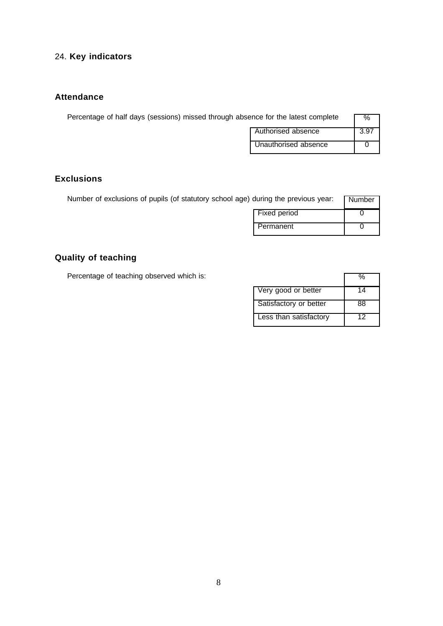# 24. **Key indicators**

## **Attendance**

| Percentage of half days (sessions) missed through absence for the latest complete |                      |      |
|-----------------------------------------------------------------------------------|----------------------|------|
|                                                                                   | Authorised absence   | 3.97 |
|                                                                                   | Unauthorised absence |      |

## **Exclusions**

| Number of exclusions of pupils (of statutory school age) during the previous year: |              | Number |
|------------------------------------------------------------------------------------|--------------|--------|
|                                                                                    | Fixed period |        |
|                                                                                    | Permanent    |        |

# **Quality of teaching**

Percentage of teaching observed which is:

| Very good or better    |    |
|------------------------|----|
| Satisfactory or better | ५६ |
| Less than satisfactory |    |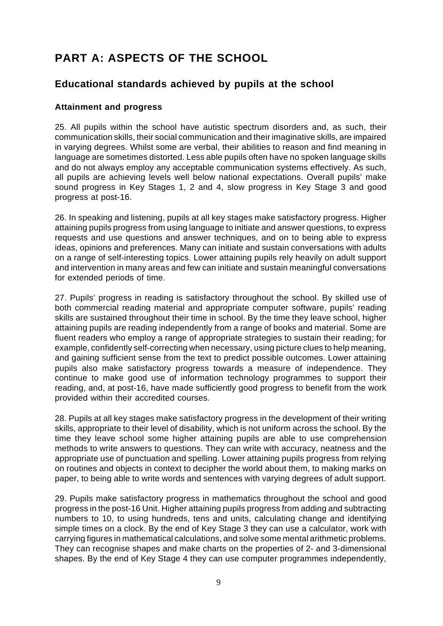# **PART A: ASPECTS OF THE SCHOOL**

## **Educational standards achieved by pupils at the school**

### **Attainment and progress**

25. All pupils within the school have autistic spectrum disorders and, as such, their communication skills, their social communication and their imaginative skills, are impaired in varying degrees. Whilst some are verbal, their abilities to reason and find meaning in language are sometimes distorted. Less able pupils often have no spoken language skills and do not always employ any acceptable communication systems effectively. As such, all pupils are achieving levels well below national expectations. Overall pupils' make sound progress in Key Stages 1, 2 and 4, slow progress in Key Stage 3 and good progress at post-16.

26. In speaking and listening, pupils at all key stages make satisfactory progress. Higher attaining pupils progress from using language to initiate and answer questions, to express requests and use questions and answer techniques, and on to being able to express ideas, opinions and preferences. Many can initiate and sustain conversations with adults on a range of self-interesting topics. Lower attaining pupils rely heavily on adult support and intervention in many areas and few can initiate and sustain meaningful conversations for extended periods of time.

27. Pupils' progress in reading is satisfactory throughout the school. By skilled use of both commercial reading material and appropriate computer software, pupils' reading skills are sustained throughout their time in school. By the time they leave school, higher attaining pupils are reading independently from a range of books and material. Some are fluent readers who employ a range of appropriate strategies to sustain their reading; for example, confidently self-correcting when necessary, using picture clues to help meaning, and gaining sufficient sense from the text to predict possible outcomes. Lower attaining pupils also make satisfactory progress towards a measure of independence. They continue to make good use of information technology programmes to support their reading, and, at post-16, have made sufficiently good progress to benefit from the work provided within their accredited courses.

28. Pupils at all key stages make satisfactory progress in the development of their writing skills, appropriate to their level of disability, which is not uniform across the school. By the time they leave school some higher attaining pupils are able to use comprehension methods to write answers to questions. They can write with accuracy, neatness and the appropriate use of punctuation and spelling. Lower attaining pupils progress from relying on routines and objects in context to decipher the world about them, to making marks on paper, to being able to write words and sentences with varying degrees of adult support.

29. Pupils make satisfactory progress in mathematics throughout the school and good progress in the post-16 Unit. Higher attaining pupils progress from adding and subtracting numbers to 10, to using hundreds, tens and units, calculating change and identifying simple times on a clock. By the end of Key Stage 3 they can use a calculator, work with carrying figures in mathematical calculations, and solve some mental arithmetic problems. They can recognise shapes and make charts on the properties of 2- and 3-dimensional shapes. By the end of Key Stage 4 they can use computer programmes independently,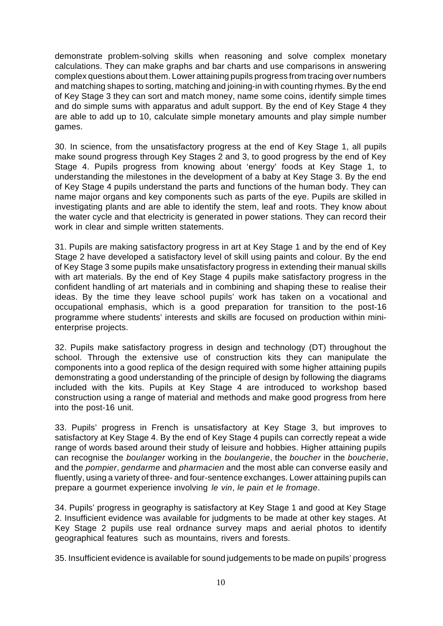demonstrate problem-solving skills when reasoning and solve complex monetary calculations. They can make graphs and bar charts and use comparisons in answering complex questions about them. Lower attaining pupils progress from tracing over numbers and matching shapes to sorting, matching and joining-in with counting rhymes. By the end of Key Stage 3 they can sort and match money, name some coins, identify simple times and do simple sums with apparatus and adult support. By the end of Key Stage 4 they are able to add up to 10, calculate simple monetary amounts and play simple number games.

30. In science, from the unsatisfactory progress at the end of Key Stage 1, all pupils make sound progress through Key Stages 2 and 3, to good progress by the end of Key Stage 4. Pupils progress from knowing about 'energy' foods at Key Stage 1, to understanding the milestones in the development of a baby at Key Stage 3. By the end of Key Stage 4 pupils understand the parts and functions of the human body. They can name major organs and key components such as parts of the eye. Pupils are skilled in investigating plants and are able to identify the stem, leaf and roots. They know about the water cycle and that electricity is generated in power stations. They can record their work in clear and simple written statements.

31. Pupils are making satisfactory progress in art at Key Stage 1 and by the end of Key Stage 2 have developed a satisfactory level of skill using paints and colour. By the end of Key Stage 3 some pupils make unsatisfactory progress in extending their manual skills with art materials. By the end of Key Stage 4 pupils make satisfactory progress in the confident handling of art materials and in combining and shaping these to realise their ideas. By the time they leave school pupils' work has taken on a vocational and occupational emphasis, which is a good preparation for transition to the post-16 programme where students' interests and skills are focused on production within minienterprise projects.

32. Pupils make satisfactory progress in design and technology (DT) throughout the school. Through the extensive use of construction kits they can manipulate the components into a good replica of the design required with some higher attaining pupils demonstrating a good understanding of the principle of design by following the diagrams included with the kits. Pupils at Key Stage 4 are introduced to workshop based construction using a range of material and methods and make good progress from here into the post-16 unit.

33. Pupils' progress in French is unsatisfactory at Key Stage 3, but improves to satisfactory at Key Stage 4. By the end of Key Stage 4 pupils can correctly repeat a wide range of words based around their study of leisure and hobbies. Higher attaining pupils can recognise the *boulanger* working in the *boulangerie*, the *boucher* in the *boucherie*, and the *pompier*, *gendarme* and *pharmacien* and the most able can converse easily and fluently, using a variety of three- and four-sentence exchanges. Lower attaining pupils can prepare a gourmet experience involving *le vin*, *le pain et le fromage*.

34. Pupils' progress in geography is satisfactory at Key Stage 1 and good at Key Stage 2. Insufficient evidence was available for judgments to be made at other key stages. At Key Stage 2 pupils use real ordnance survey maps and aerial photos to identify geographical features such as mountains, rivers and forests.

35. Insufficient evidence is available for sound judgements to be made on pupils' progress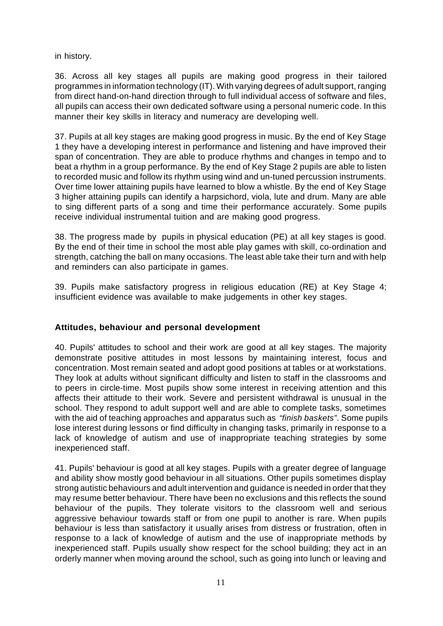in history.

36. Across all key stages all pupils are making good progress in their tailored programmes in information technology (IT). With varying degrees of adult support, ranging from direct hand-on-hand direction through to full individual access of software and files, all pupils can access their own dedicated software using a personal numeric code. In this manner their key skills in literacy and numeracy are developing well.

37. Pupils at all key stages are making good progress in music. By the end of Key Stage 1 they have a developing interest in performance and listening and have improved their span of concentration. They are able to produce rhythms and changes in tempo and to beat a rhythm in a group performance. By the end of Key Stage 2 pupils are able to listen to recorded music and follow its rhythm using wind and un-tuned percussion instruments. Over time lower attaining pupils have learned to blow a whistle. By the end of Key Stage 3 higher attaining pupils can identify a harpsichord, viola, lute and drum. Many are able to sing different parts of a song and time their performance accurately. Some pupils receive individual instrumental tuition and are making good progress.

38. The progress made by pupils in physical education (PE) at all key stages is good. By the end of their time in school the most able play games with skill, co-ordination and strength, catching the ball on many occasions. The least able take their turn and with help and reminders can also participate in games.

39. Pupils make satisfactory progress in religious education (RE) at Key Stage 4; insufficient evidence was available to make judgements in other key stages.

### **Attitudes, behaviour and personal development**

40. Pupils' attitudes to school and their work are good at all key stages. The majority demonstrate positive attitudes in most lessons by maintaining interest, focus and concentration. Most remain seated and adopt good positions at tables or at workstations. They look at adults without significant difficulty and listen to staff in the classrooms and to peers in circle-time. Most pupils show some interest in receiving attention and this affects their attitude to their work. Severe and persistent withdrawal is unusual in the school. They respond to adult support well and are able to complete tasks, sometimes with the aid of teaching approaches and apparatus such as *"finish baskets"*. Some pupils lose interest during lessons or find difficulty in changing tasks, primarily in response to a lack of knowledge of autism and use of inappropriate teaching strategies by some inexperienced staff.

41. Pupils' behaviour is good at all key stages. Pupils with a greater degree of language and ability show mostly good behaviour in all situations. Other pupils sometimes display strong autistic behaviours and adult intervention and guidance is needed in order that they may resume better behaviour. There have been no exclusions and this reflects the sound behaviour of the pupils. They tolerate visitors to the classroom well and serious aggressive behaviour towards staff or from one pupil to another is rare. When pupils behaviour is less than satisfactory it usually arises from distress or frustration, often in response to a lack of knowledge of autism and the use of inappropriate methods by inexperienced staff. Pupils usually show respect for the school building; they act in an orderly manner when moving around the school, such as going into lunch or leaving and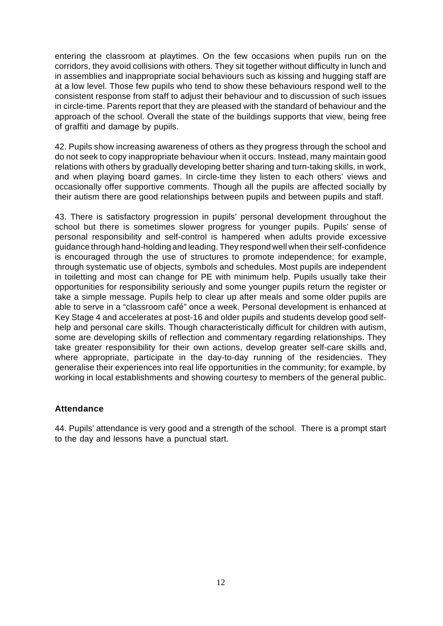entering the classroom at playtimes. On the few occasions when pupils run on the corridors, they avoid collisions with others. They sit together without difficulty in lunch and in assemblies and inappropriate social behaviours such as kissing and hugging staff are at a low level. Those few pupils who tend to show these behaviours respond well to the consistent response from staff to adjust their behaviour and to discussion of such issues in circle-time. Parents report that they are pleased with the standard of behaviour and the approach of the school. Overall the state of the buildings supports that view, being free of graffiti and damage by pupils.

42. Pupils show increasing awareness of others as they progress through the school and do not seek to copy inappropriate behaviour when it occurs. Instead, many maintain good relations with others by gradually developing better sharing and turn-taking skills, in work, and when playing board games. In circle-time they listen to each others' views and occasionally offer supportive comments. Though all the pupils are affected socially by their autism there are good relationships between pupils and between pupils and staff.

43. There is satisfactory progression in pupils' personal development throughout the school but there is sometimes slower progress for younger pupils. Pupils' sense of personal responsibility and self-control is hampered when adults provide excessive guidance through hand-holding and leading. They respond well when their self-confidence is encouraged through the use of structures to promote independence; for example, through systematic use of objects, symbols and schedules. Most pupils are independent in toiletting and most can change for PE with minimum help. Pupils usually take their opportunities for responsibility seriously and some younger pupils return the register or take a simple message. Pupils help to clear up after meals and some older pupils are able to serve in a "classroom café" once a week. Personal development is enhanced at Key Stage 4 and accelerates at post-16 and older pupils and students develop good selfhelp and personal care skills. Though characteristically difficult for children with autism, some are developing skills of reflection and commentary regarding relationships. They take greater responsibility for their own actions, develop greater self-care skills and, where appropriate, participate in the day-to-day running of the residencies. They generalise their experiences into real life opportunities in the community; for example, by working in local establishments and showing courtesy to members of the general public.

#### **Attendance**

44. Pupils' attendance is very good and a strength of the school. There is a prompt start to the day and lessons have a punctual start.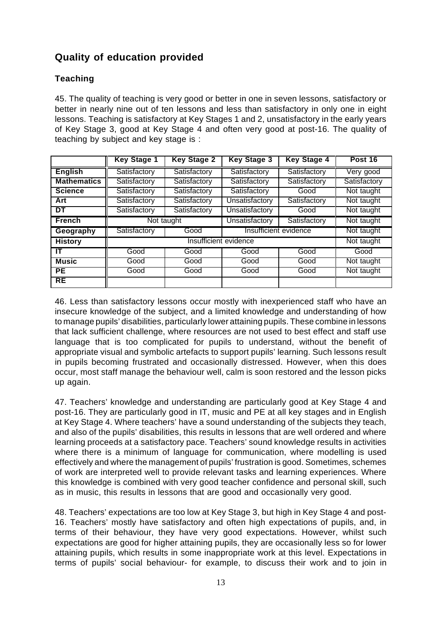# **Quality of education provided**

### **Teaching**

45. The quality of teaching is very good or better in one in seven lessons, satisfactory or better in nearly nine out of ten lessons and less than satisfactory in only one in eight lessons. Teaching is satisfactory at Key Stages 1 and 2, unsatisfactory in the early years of Key Stage 3, good at Key Stage 4 and often very good at post-16. The quality of teaching by subject and key stage is :

|                    | <b>Key Stage 1</b>    | <b>Key Stage 2</b>           | <b>Key Stage 3</b>    | <b>Key Stage 4</b> | Post 16      |
|--------------------|-----------------------|------------------------------|-----------------------|--------------------|--------------|
| <b>English</b>     | Satisfactory          | Satisfactory                 | Satisfactory          | Satisfactory       | Very good    |
| <b>Mathematics</b> | Satisfactory          | Satisfactory                 | Satisfactory          | Satisfactory       | Satisfactory |
| <b>Science</b>     | Satisfactory          | Satisfactory                 | Satisfactory          | Good               | Not taught   |
| Art                | Satisfactory          | Satisfactory                 | Unsatisfactory        | Satisfactory       | Not taught   |
| DT                 | Satisfactory          | Satisfactory                 | Unsatisfactory        | Good               | Not taught   |
| <b>French</b>      |                       | Unsatisfactory<br>Not taught |                       | Satisfactory       | Not taught   |
| Geography          | Satisfactory          | Good                         | Insufficient evidence |                    | Not taught   |
| <b>History</b>     | Insufficient evidence |                              |                       |                    | Not taught   |
| ШT                 | Good                  | Good                         | Good                  | Good               | Good         |
| <b>Music</b>       | Good                  | Good                         | Good                  | Good               | Not taught   |
| PE.                | Good                  | Good                         | Good                  | Good               | Not taught   |
| <b>RE</b>          |                       |                              |                       |                    |              |

46. Less than satisfactory lessons occur mostly with inexperienced staff who have an insecure knowledge of the subject, and a limited knowledge and understanding of how to manage pupils' disabilities, particularly lower attaining pupils. These combine in lessons that lack sufficient challenge, where resources are not used to best effect and staff use language that is too complicated for pupils to understand, without the benefit of appropriate visual and symbolic artefacts to support pupils' learning. Such lessons result in pupils becoming frustrated and occasionally distressed. However, when this does occur, most staff manage the behaviour well, calm is soon restored and the lesson picks up again.

47. Teachers' knowledge and understanding are particularly good at Key Stage 4 and post-16. They are particularly good in IT, music and PE at all key stages and in English at Key Stage 4. Where teachers' have a sound understanding of the subjects they teach, and also of the pupils' disabilities, this results in lessons that are well ordered and where learning proceeds at a satisfactory pace. Teachers' sound knowledge results in activities where there is a minimum of language for communication, where modelling is used effectively and where the management of pupils' frustration is good. Sometimes, schemes of work are interpreted well to provide relevant tasks and learning experiences. Where this knowledge is combined with very good teacher confidence and personal skill, such as in music, this results in lessons that are good and occasionally very good.

48. Teachers' expectations are too low at Key Stage 3, but high in Key Stage 4 and post-16. Teachers' mostly have satisfactory and often high expectations of pupils, and, in terms of their behaviour, they have very good expectations. However, whilst such expectations are good for higher attaining pupils, they are occasionally less so for lower attaining pupils, which results in some inappropriate work at this level. Expectations in terms of pupils' social behaviour- for example, to discuss their work and to join in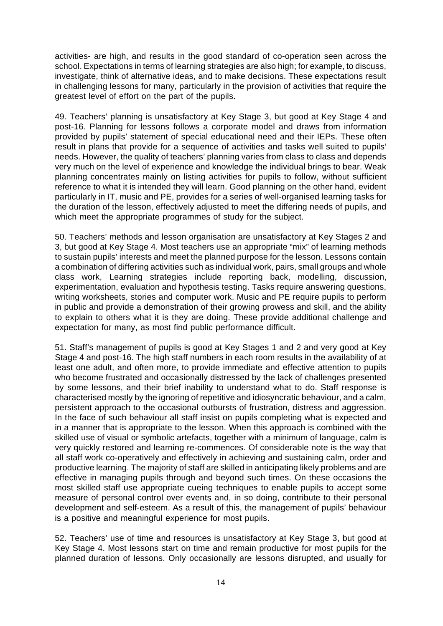activities- are high, and results in the good standard of co-operation seen across the school. Expectations in terms of learning strategies are also high; for example, to discuss, investigate, think of alternative ideas, and to make decisions. These expectations result in challenging lessons for many, particularly in the provision of activities that require the greatest level of effort on the part of the pupils.

49. Teachers' planning is unsatisfactory at Key Stage 3, but good at Key Stage 4 and post-16. Planning for lessons follows a corporate model and draws from information provided by pupils' statement of special educational need and their IEPs. These often result in plans that provide for a sequence of activities and tasks well suited to pupils' needs. However, the quality of teachers' planning varies from class to class and depends very much on the level of experience and knowledge the individual brings to bear. Weak planning concentrates mainly on listing activities for pupils to follow, without sufficient reference to what it is intended they will learn. Good planning on the other hand, evident particularly in IT, music and PE, provides for a series of well-organised learning tasks for the duration of the lesson, effectively adjusted to meet the differing needs of pupils, and which meet the appropriate programmes of study for the subject.

50. Teachers' methods and lesson organisation are unsatisfactory at Key Stages 2 and 3, but good at Key Stage 4. Most teachers use an appropriate "mix" of learning methods to sustain pupils' interests and meet the planned purpose for the lesson. Lessons contain a combination of differing activities such as individual work, pairs, small groups and whole class work, Learning strategies include reporting back, modelling, discussion, experimentation, evaluation and hypothesis testing. Tasks require answering questions, writing worksheets, stories and computer work. Music and PE require pupils to perform in public and provide a demonstration of their growing prowess and skill, and the ability to explain to others what it is they are doing. These provide additional challenge and expectation for many, as most find public performance difficult.

51. Staff's management of pupils is good at Key Stages 1 and 2 and very good at Key Stage 4 and post-16. The high staff numbers in each room results in the availability of at least one adult, and often more, to provide immediate and effective attention to pupils who become frustrated and occasionally distressed by the lack of challenges presented by some lessons, and their brief inability to understand what to do. Staff response is characterised mostly by the ignoring of repetitive and idiosyncratic behaviour, and a calm, persistent approach to the occasional outbursts of frustration, distress and aggression. In the face of such behaviour all staff insist on pupils completing what is expected and in a manner that is appropriate to the lesson. When this approach is combined with the skilled use of visual or symbolic artefacts, together with a minimum of language, calm is very quickly restored and learning re-commences. Of considerable note is the way that all staff work co-operatively and effectively in achieving and sustaining calm, order and productive learning. The majority of staff are skilled in anticipating likely problems and are effective in managing pupils through and beyond such times. On these occasions the most skilled staff use appropriate cueing techniques to enable pupils to accept some measure of personal control over events and, in so doing, contribute to their personal development and self-esteem. As a result of this, the management of pupils' behaviour is a positive and meaningful experience for most pupils.

52. Teachers' use of time and resources is unsatisfactory at Key Stage 3, but good at Key Stage 4. Most lessons start on time and remain productive for most pupils for the planned duration of lessons. Only occasionally are lessons disrupted, and usually for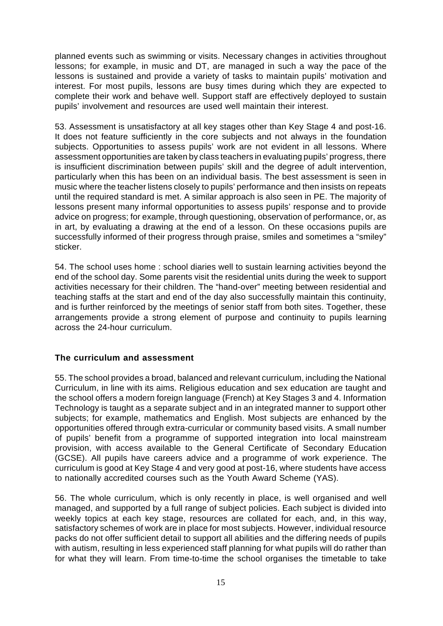planned events such as swimming or visits. Necessary changes in activities throughout lessons; for example, in music and DT, are managed in such a way the pace of the lessons is sustained and provide a variety of tasks to maintain pupils' motivation and interest. For most pupils, lessons are busy times during which they are expected to complete their work and behave well. Support staff are effectively deployed to sustain pupils' involvement and resources are used well maintain their interest.

53. Assessment is unsatisfactory at all key stages other than Key Stage 4 and post-16. It does not feature sufficiently in the core subjects and not always in the foundation subjects. Opportunities to assess pupils' work are not evident in all lessons. Where assessment opportunities are taken by class teachers in evaluating pupils' progress, there is insufficient discrimination between pupils' skill and the degree of adult intervention, particularly when this has been on an individual basis. The best assessment is seen in music where the teacher listens closely to pupils' performance and then insists on repeats until the required standard is met. A similar approach is also seen in PE. The majority of lessons present many informal opportunities to assess pupils' response and to provide advice on progress; for example, through questioning, observation of performance, or, as in art, by evaluating a drawing at the end of a lesson. On these occasions pupils are successfully informed of their progress through praise, smiles and sometimes a "smiley" sticker.

54. The school uses home : school diaries well to sustain learning activities beyond the end of the school day. Some parents visit the residential units during the week to support activities necessary for their children. The "hand-over" meeting between residential and teaching staffs at the start and end of the day also successfully maintain this continuity, and is further reinforced by the meetings of senior staff from both sites. Together, these arrangements provide a strong element of purpose and continuity to pupils learning across the 24-hour curriculum.

### **The curriculum and assessment**

55. The school provides a broad, balanced and relevant curriculum, including the National Curriculum, in line with its aims. Religious education and sex education are taught and the school offers a modern foreign language (French) at Key Stages 3 and 4. Information Technology is taught as a separate subject and in an integrated manner to support other subjects; for example, mathematics and English. Most subjects are enhanced by the opportunities offered through extra-curricular or community based visits. A small number of pupils' benefit from a programme of supported integration into local mainstream provision, with access available to the General Certificate of Secondary Education (GCSE). All pupils have careers advice and a programme of work experience. The curriculum is good at Key Stage 4 and very good at post-16, where students have access to nationally accredited courses such as the Youth Award Scheme (YAS).

56. The whole curriculum, which is only recently in place, is well organised and well managed, and supported by a full range of subject policies. Each subject is divided into weekly topics at each key stage, resources are collated for each, and, in this way, satisfactory schemes of work are in place for most subjects. However, individual resource packs do not offer sufficient detail to support all abilities and the differing needs of pupils with autism, resulting in less experienced staff planning for what pupils will do rather than for what they will learn. From time-to-time the school organises the timetable to take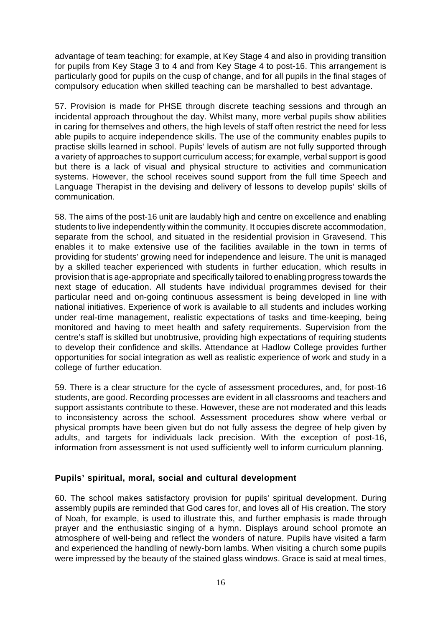advantage of team teaching; for example, at Key Stage 4 and also in providing transition for pupils from Key Stage 3 to 4 and from Key Stage 4 to post-16. This arrangement is particularly good for pupils on the cusp of change, and for all pupils in the final stages of compulsory education when skilled teaching can be marshalled to best advantage.

57. Provision is made for PHSE through discrete teaching sessions and through an incidental approach throughout the day. Whilst many, more verbal pupils show abilities in caring for themselves and others, the high levels of staff often restrict the need for less able pupils to acquire independence skills. The use of the community enables pupils to practise skills learned in school. Pupils' levels of autism are not fully supported through a variety of approaches to support curriculum access; for example, verbal support is good but there is a lack of visual and physical structure to activities and communication systems. However, the school receives sound support from the full time Speech and Language Therapist in the devising and delivery of lessons to develop pupils' skills of communication.

58. The aims of the post-16 unit are laudably high and centre on excellence and enabling students to live independently within the community. It occupies discrete accommodation, separate from the school, and situated in the residential provision in Gravesend. This enables it to make extensive use of the facilities available in the town in terms of providing for students' growing need for independence and leisure. The unit is managed by a skilled teacher experienced with students in further education, which results in provision that is age-appropriate and specifically tailored to enabling progress towards the next stage of education. All students have individual programmes devised for their particular need and on-going continuous assessment is being developed in line with national initiatives. Experience of work is available to all students and includes working under real-time management, realistic expectations of tasks and time-keeping, being monitored and having to meet health and safety requirements. Supervision from the centre's staff is skilled but unobtrusive, providing high expectations of requiring students to develop their confidence and skills. Attendance at Hadlow College provides further opportunities for social integration as well as realistic experience of work and study in a college of further education.

59. There is a clear structure for the cycle of assessment procedures, and, for post-16 students, are good. Recording processes are evident in all classrooms and teachers and support assistants contribute to these. However, these are not moderated and this leads to inconsistency across the school. Assessment procedures show where verbal or physical prompts have been given but do not fully assess the degree of help given by adults, and targets for individuals lack precision. With the exception of post-16, information from assessment is not used sufficiently well to inform curriculum planning.

### **Pupils' spiritual, moral, social and cultural development**

60. The school makes satisfactory provision for pupils' spiritual development. During assembly pupils are reminded that God cares for, and loves all of His creation. The story of Noah, for example, is used to illustrate this, and further emphasis is made through prayer and the enthusiastic singing of a hymn. Displays around school promote an atmosphere of well-being and reflect the wonders of nature. Pupils have visited a farm and experienced the handling of newly-born lambs. When visiting a church some pupils were impressed by the beauty of the stained glass windows. Grace is said at meal times,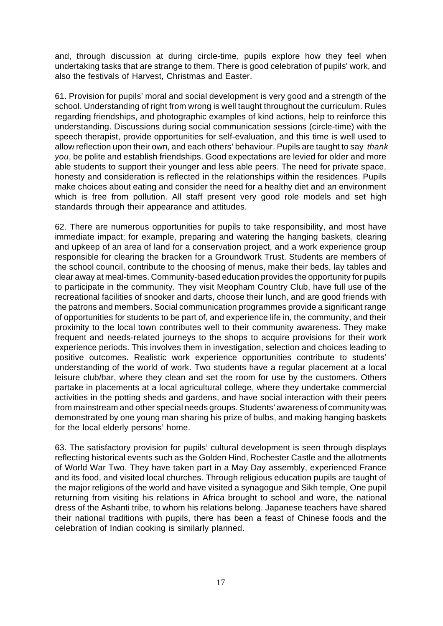and, through discussion at during circle-time, pupils explore how they feel when undertaking tasks that are strange to them. There is good celebration of pupils' work, and also the festivals of Harvest, Christmas and Easter.

61. Provision for pupils' moral and social development is very good and a strength of the school. Understanding of right from wrong is well taught throughout the curriculum. Rules regarding friendships, and photographic examples of kind actions, help to reinforce this understanding. Discussions during social communication sessions (circle-time) with the speech therapist, provide opportunities for self-evaluation, and this time is well used to allow reflection upon their own, and each others' behaviour. Pupils are taught to say *thank you*, be polite and establish friendships. Good expectations are levied for older and more able students to support their younger and less able peers. The need for private space, honesty and consideration is reflected in the relationships within the residences. Pupils make choices about eating and consider the need for a healthy diet and an environment which is free from pollution. All staff present very good role models and set high standards through their appearance and attitudes.

62. There are numerous opportunities for pupils to take responsibility, and most have immediate impact; for example, preparing and watering the hanging baskets, clearing and upkeep of an area of land for a conservation project, and a work experience group responsible for clearing the bracken for a Groundwork Trust. Students are members of the school council, contribute to the choosing of menus, make their beds, lay tables and clear away at meal-times. Community-based education provides the opportunity for pupils to participate in the community. They visit Meopham Country Club, have full use of the recreational facilities of snooker and darts, choose their lunch, and are good friends with the patrons and members. Social communication programmes provide a significant range of opportunities for students to be part of, and experience life in, the community, and their proximity to the local town contributes well to their community awareness. They make frequent and needs-related journeys to the shops to acquire provisions for their work experience periods. This involves them in investigation, selection and choices leading to positive outcomes. Realistic work experience opportunities contribute to students' understanding of the world of work. Two students have a regular placement at a local leisure club/bar, where they clean and set the room for use by the customers. Others partake in placements at a local agricultural college, where they undertake commercial activities in the potting sheds and gardens, and have social interaction with their peers from mainstream and other special needs groups. Students' awareness of community was demonstrated by one young man sharing his prize of bulbs, and making hanging baskets for the local elderly persons' home.

63. The satisfactory provision for pupils' cultural development is seen through displays reflecting historical events such as the Golden Hind, Rochester Castle and the allotments of World War Two. They have taken part in a May Day assembly, experienced France and its food, and visited local churches. Through religious education pupils are taught of the major religions of the world and have visited a synagogue and Sikh temple, One pupil returning from visiting his relations in Africa brought to school and wore, the national dress of the Ashanti tribe, to whom his relations belong. Japanese teachers have shared their national traditions with pupils, there has been a feast of Chinese foods and the celebration of Indian cooking is similarly planned.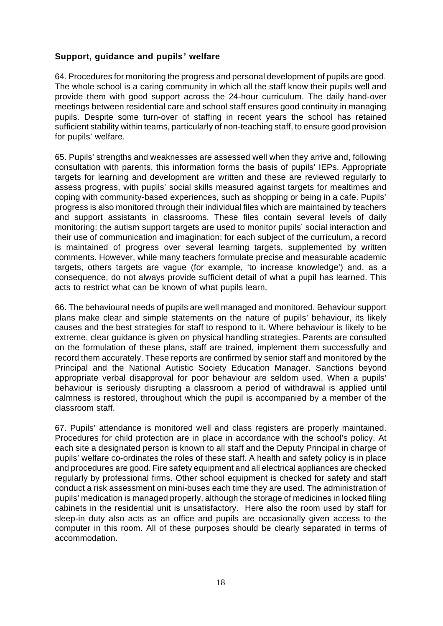### **Support, guidance and pupils' welfare**

64. Procedures for monitoring the progress and personal development of pupils are good. The whole school is a caring community in which all the staff know their pupils well and provide them with good support across the 24-hour curriculum. The daily hand-over meetings between residential care and school staff ensures good continuity in managing pupils. Despite some turn-over of staffing in recent years the school has retained sufficient stability within teams, particularly of non-teaching staff, to ensure good provision for pupils' welfare.

65. Pupils' strengths and weaknesses are assessed well when they arrive and, following consultation with parents, this information forms the basis of pupils' IEPs. Appropriate targets for learning and development are written and these are reviewed regularly to assess progress, with pupils' social skills measured against targets for mealtimes and coping with community-based experiences, such as shopping or being in a cafe. Pupils' progress is also monitored through their individual files which are maintained by teachers and support assistants in classrooms. These files contain several levels of daily monitoring: the autism support targets are used to monitor pupils' social interaction and their use of communication and imagination; for each subject of the curriculum, a record is maintained of progress over several learning targets, supplemented by written comments. However, while many teachers formulate precise and measurable academic targets, others targets are vague (for example, 'to increase knowledge') and, as a consequence, do not always provide sufficient detail of what a pupil has learned. This acts to restrict what can be known of what pupils learn.

66. The behavioural needs of pupils are well managed and monitored. Behaviour support plans make clear and simple statements on the nature of pupils' behaviour, its likely causes and the best strategies for staff to respond to it. Where behaviour is likely to be extreme, clear guidance is given on physical handling strategies. Parents are consulted on the formulation of these plans, staff are trained, implement them successfully and record them accurately. These reports are confirmed by senior staff and monitored by the Principal and the National Autistic Society Education Manager. Sanctions beyond appropriate verbal disapproval for poor behaviour are seldom used. When a pupils' behaviour is seriously disrupting a classroom a period of withdrawal is applied until calmness is restored, throughout which the pupil is accompanied by a member of the classroom staff.

67. Pupils' attendance is monitored well and class registers are properly maintained. Procedures for child protection are in place in accordance with the school's policy. At each site a designated person is known to all staff and the Deputy Principal in charge of pupils' welfare co-ordinates the roles of these staff. A health and safety policy is in place and procedures are good. Fire safety equipment and all electrical appliances are checked regularly by professional firms. Other school equipment is checked for safety and staff conduct a risk assessment on mini-buses each time they are used. The administration of pupils' medication is managed properly, although the storage of medicines in locked filing cabinets in the residential unit is unsatisfactory. Here also the room used by staff for sleep-in duty also acts as an office and pupils are occasionally given access to the computer in this room. All of these purposes should be clearly separated in terms of accommodation.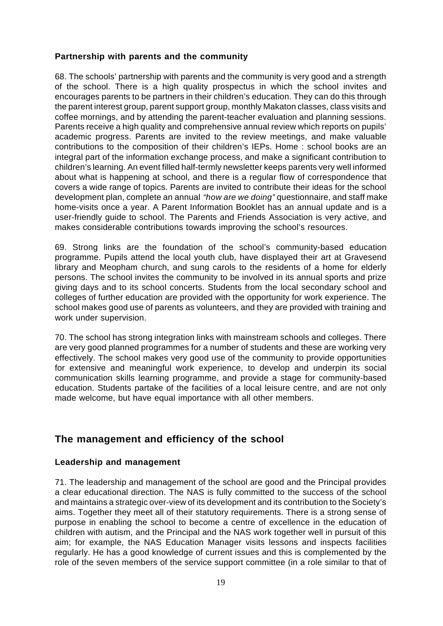### **Partnership with parents and the community**

68. The schools' partnership with parents and the community is very good and a strength of the school. There is a high quality prospectus in which the school invites and encourages parents to be partners in their children's education. They can do this through the parent interest group, parent support group, monthly Makaton classes, class visits and coffee mornings, and by attending the parent-teacher evaluation and planning sessions. Parents receive a high quality and comprehensive annual review which reports on pupils' academic progress. Parents are invited to the review meetings, and make valuable contributions to the composition of their children's IEPs. Home : school books are an integral part of the information exchange process, and make a significant contribution to children's learning. An event filled half-termly newsletter keeps parents very well informed about what is happening at school, and there is a regular flow of correspondence that covers a wide range of topics. Parents are invited to contribute their ideas for the school development plan, complete an annual *"how are we doing"* questionnaire, and staff make home-visits once a year. A Parent Information Booklet has an annual update and is a user-friendly guide to school. The Parents and Friends Association is very active, and makes considerable contributions towards improving the school's resources.

69. Strong links are the foundation of the school's community-based education programme. Pupils attend the local youth club, have displayed their art at Gravesend library and Meopham church, and sung carols to the residents of a home for elderly persons. The school invites the community to be involved in its annual sports and prize giving days and to its school concerts. Students from the local secondary school and colleges of further education are provided with the opportunity for work experience. The school makes good use of parents as volunteers, and they are provided with training and work under supervision.

70. The school has strong integration links with mainstream schools and colleges. There are very good planned programmes for a number of students and these are working very effectively. The school makes very good use of the community to provide opportunities for extensive and meaningful work experience, to develop and underpin its social communication skills learning programme, and provide a stage for community-based education. Students partake of the facilities of a local leisure centre, and are not only made welcome, but have equal importance with all other members.

## **The management and efficiency of the school**

### **Leadership and management**

71. The leadership and management of the school are good and the Principal provides a clear educational direction. The NAS is fully committed to the success of the school and maintains a strategic over-view of its development and its contribution to the Society's aims. Together they meet all of their statutory requirements. There is a strong sense of purpose in enabling the school to become a centre of excellence in the education of children with autism, and the Principal and the NAS work together well in pursuit of this aim; for example, the NAS Education Manager visits lessons and inspects facilities regularly. He has a good knowledge of current issues and this is complemented by the role of the seven members of the service support committee (in a role similar to that of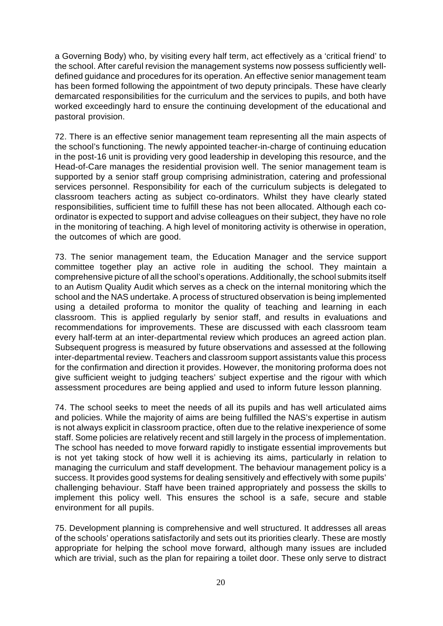a Governing Body) who, by visiting every half term, act effectively as a 'critical friend' to the school. After careful revision the management systems now possess sufficiently welldefined guidance and procedures for its operation. An effective senior management team has been formed following the appointment of two deputy principals. These have clearly demarcated responsibilities for the curriculum and the services to pupils, and both have worked exceedingly hard to ensure the continuing development of the educational and pastoral provision.

72. There is an effective senior management team representing all the main aspects of the school's functioning. The newly appointed teacher-in-charge of continuing education in the post-16 unit is providing very good leadership in developing this resource, and the Head-of-Care manages the residential provision well. The senior management team is supported by a senior staff group comprising administration, catering and professional services personnel. Responsibility for each of the curriculum subjects is delegated to classroom teachers acting as subject co-ordinators. Whilst they have clearly stated responsibilities, sufficient time to fulfill these has not been allocated. Although each coordinator is expected to support and advise colleagues on their subject, they have no role in the monitoring of teaching. A high level of monitoring activity is otherwise in operation, the outcomes of which are good.

73. The senior management team, the Education Manager and the service support committee together play an active role in auditing the school. They maintain a comprehensive picture of all the school's operations. Additionally, the school submits itself to an Autism Quality Audit which serves as a check on the internal monitoring which the school and the NAS undertake. A process of structured observation is being implemented using a detailed proforma to monitor the quality of teaching and learning in each classroom. This is applied regularly by senior staff, and results in evaluations and recommendations for improvements. These are discussed with each classroom team every half-term at an inter-departmental review which produces an agreed action plan. Subsequent progress is measured by future observations and assessed at the following inter-departmental review. Teachers and classroom support assistants value this process for the confirmation and direction it provides. However, the monitoring proforma does not give sufficient weight to judging teachers' subject expertise and the rigour with which assessment procedures are being applied and used to inform future lesson planning.

74. The school seeks to meet the needs of all its pupils and has well articulated aims and policies. While the majority of aims are being fulfilled the NAS's expertise in autism is not always explicit in classroom practice, often due to the relative inexperience of some staff. Some policies are relatively recent and still largely in the process of implementation. The school has needed to move forward rapidly to instigate essential improvements but is not yet taking stock of how well it is achieving its aims, particularly in relation to managing the curriculum and staff development. The behaviour management policy is a success. It provides good systems for dealing sensitively and effectively with some pupils' challenging behaviour. Staff have been trained appropriately and possess the skills to implement this policy well. This ensures the school is a safe, secure and stable environment for all pupils.

75. Development planning is comprehensive and well structured. It addresses all areas of the schools' operations satisfactorily and sets out its priorities clearly. These are mostly appropriate for helping the school move forward, although many issues are included which are trivial, such as the plan for repairing a toilet door. These only serve to distract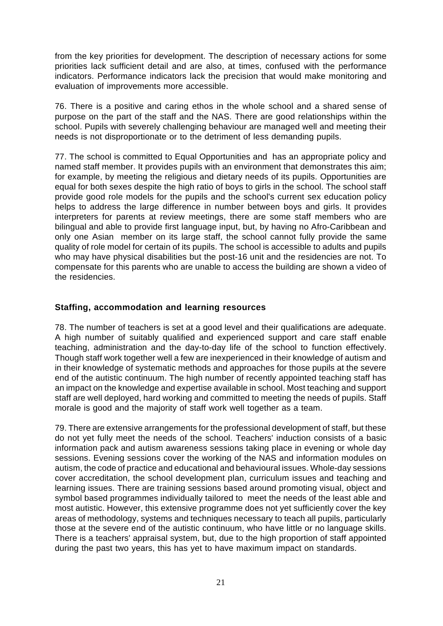from the key priorities for development. The description of necessary actions for some priorities lack sufficient detail and are also, at times, confused with the performance indicators. Performance indicators lack the precision that would make monitoring and evaluation of improvements more accessible.

76. There is a positive and caring ethos in the whole school and a shared sense of purpose on the part of the staff and the NAS. There are good relationships within the school. Pupils with severely challenging behaviour are managed well and meeting their needs is not disproportionate or to the detriment of less demanding pupils.

77. The school is committed to Equal Opportunities and has an appropriate policy and named staff member. It provides pupils with an environment that demonstrates this aim; for example, by meeting the religious and dietary needs of its pupils. Opportunities are equal for both sexes despite the high ratio of boys to girls in the school. The school staff provide good role models for the pupils and the school's current sex education policy helps to address the large difference in number between boys and girls. It provides interpreters for parents at review meetings, there are some staff members who are bilingual and able to provide first language input, but, by having no Afro-Caribbean and only one Asian member on its large staff, the school cannot fully provide the same quality of role model for certain of its pupils. The school is accessible to adults and pupils who may have physical disabilities but the post-16 unit and the residencies are not. To compensate for this parents who are unable to access the building are shown a video of the residencies.

### **Staffing, accommodation and learning resources**

78. The number of teachers is set at a good level and their qualifications are adequate. A high number of suitably qualified and experienced support and care staff enable teaching, administration and the day-to-day life of the school to function effectively. Though staff work together well a few are inexperienced in their knowledge of autism and in their knowledge of systematic methods and approaches for those pupils at the severe end of the autistic continuum. The high number of recently appointed teaching staff has an impact on the knowledge and expertise available in school. Most teaching and support staff are well deployed, hard working and committed to meeting the needs of pupils. Staff morale is good and the majority of staff work well together as a team.

79. There are extensive arrangements for the professional development of staff, but these do not yet fully meet the needs of the school. Teachers' induction consists of a basic information pack and autism awareness sessions taking place in evening or whole day sessions. Evening sessions cover the working of the NAS and information modules on autism, the code of practice and educational and behavioural issues. Whole-day sessions cover accreditation, the school development plan, curriculum issues and teaching and learning issues. There are training sessions based around promoting visual, object and symbol based programmes individually tailored to meet the needs of the least able and most autistic. However, this extensive programme does not yet sufficiently cover the key areas of methodology, systems and techniques necessary to teach all pupils, particularly those at the severe end of the autistic continuum, who have little or no language skills. There is a teachers' appraisal system, but, due to the high proportion of staff appointed during the past two years, this has yet to have maximum impact on standards.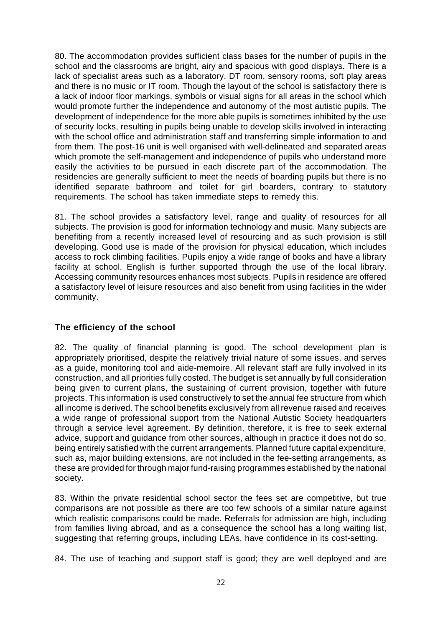80. The accommodation provides sufficient class bases for the number of pupils in the school and the classrooms are bright, airy and spacious with good displays. There is a lack of specialist areas such as a laboratory, DT room, sensory rooms, soft play areas and there is no music or IT room. Though the layout of the school is satisfactory there is a lack of indoor floor markings, symbols or visual signs for all areas in the school which would promote further the independence and autonomy of the most autistic pupils. The development of independence for the more able pupils is sometimes inhibited by the use of security locks, resulting in pupils being unable to develop skills involved in interacting with the school office and administration staff and transferring simple information to and from them. The post-16 unit is well organised with well-delineated and separated areas which promote the self-management and independence of pupils who understand more easily the activities to be pursued in each discrete part of the accommodation. The residencies are generally sufficient to meet the needs of boarding pupils but there is no identified separate bathroom and toilet for girl boarders, contrary to statutory requirements. The school has taken immediate steps to remedy this.

81. The school provides a satisfactory level, range and quality of resources for all subjects. The provision is good for information technology and music. Many subjects are benefiting from a recently increased level of resourcing and as such provision is still developing. Good use is made of the provision for physical education, which includes access to rock climbing facilities. Pupils enjoy a wide range of books and have a library facility at school. English is further supported through the use of the local library. Accessing community resources enhances most subjects. Pupils in residence are offered a satisfactory level of leisure resources and also benefit from using facilities in the wider community.

### **The efficiency of the school**

82. The quality of financial planning is good. The school development plan is appropriately prioritised, despite the relatively trivial nature of some issues, and serves as a guide, monitoring tool and aide-memoire. All relevant staff are fully involved in its construction, and all priorities fully costed. The budget is set annually by full consideration being given to current plans, the sustaining of current provision, together with future projects. This information is used constructively to set the annual fee structure from which all income is derived. The school benefits exclusively from all revenue raised and receives a wide range of professional support from the National Autistic Society headquarters through a service level agreement. By definition, therefore, it is free to seek external advice, support and guidance from other sources, although in practice it does not do so, being entirely satisfied with the current arrangements. Planned future capital expenditure, such as, major building extensions, are not included in the fee-setting arrangements, as these are provided for through major fund-raising programmes established by the national society.

83. Within the private residential school sector the fees set are competitive, but true comparisons are not possible as there are too few schools of a similar nature against which realistic comparisons could be made. Referrals for admission are high, including from families living abroad, and as a consequence the school has a long waiting list, suggesting that referring groups, including LEAs, have confidence in its cost-setting.

84. The use of teaching and support staff is good; they are well deployed and are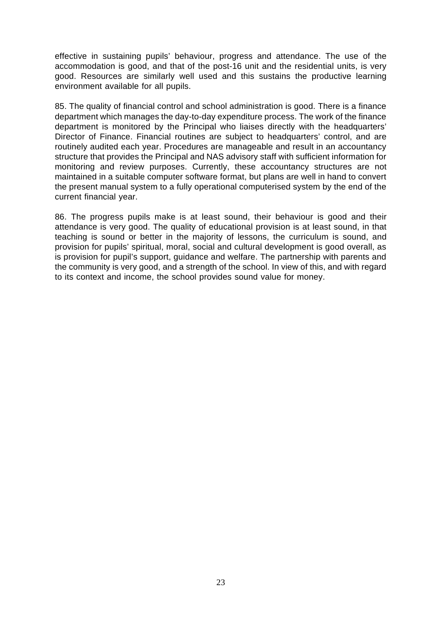effective in sustaining pupils' behaviour, progress and attendance. The use of the accommodation is good, and that of the post-16 unit and the residential units, is very good. Resources are similarly well used and this sustains the productive learning environment available for all pupils.

85. The quality of financial control and school administration is good. There is a finance department which manages the day-to-day expenditure process. The work of the finance department is monitored by the Principal who liaises directly with the headquarters' Director of Finance. Financial routines are subject to headquarters' control, and are routinely audited each year. Procedures are manageable and result in an accountancy structure that provides the Principal and NAS advisory staff with sufficient information for monitoring and review purposes. Currently, these accountancy structures are not maintained in a suitable computer software format, but plans are well in hand to convert the present manual system to a fully operational computerised system by the end of the current financial year.

86. The progress pupils make is at least sound, their behaviour is good and their attendance is very good. The quality of educational provision is at least sound, in that teaching is sound or better in the majority of lessons, the curriculum is sound, and provision for pupils' spiritual, moral, social and cultural development is good overall, as is provision for pupil's support, guidance and welfare. The partnership with parents and the community is very good, and a strength of the school. In view of this, and with regard to its context and income, the school provides sound value for money.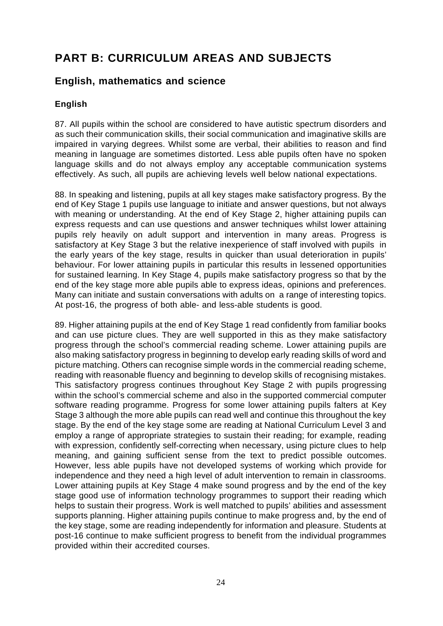# **PART B: CURRICULUM AREAS AND SUBJECTS**

## **English, mathematics and science**

## **English**

87. All pupils within the school are considered to have autistic spectrum disorders and as such their communication skills, their social communication and imaginative skills are impaired in varying degrees. Whilst some are verbal, their abilities to reason and find meaning in language are sometimes distorted. Less able pupils often have no spoken language skills and do not always employ any acceptable communication systems effectively. As such, all pupils are achieving levels well below national expectations.

88. In speaking and listening, pupils at all key stages make satisfactory progress. By the end of Key Stage 1 pupils use language to initiate and answer questions, but not always with meaning or understanding. At the end of Key Stage 2, higher attaining pupils can express requests and can use questions and answer techniques whilst lower attaining pupils rely heavily on adult support and intervention in many areas. Progress is satisfactory at Key Stage 3 but the relative inexperience of staff involved with pupils in the early years of the key stage, results in quicker than usual deterioration in pupils' behaviour. For lower attaining pupils in particular this results in lessened opportunities for sustained learning. In Key Stage 4, pupils make satisfactory progress so that by the end of the key stage more able pupils able to express ideas, opinions and preferences. Many can initiate and sustain conversations with adults on a range of interesting topics. At post-16, the progress of both able- and less-able students is good.

89. Higher attaining pupils at the end of Key Stage 1 read confidently from familiar books and can use picture clues. They are well supported in this as they make satisfactory progress through the school's commercial reading scheme. Lower attaining pupils are also making satisfactory progress in beginning to develop early reading skills of word and picture matching. Others can recognise simple words in the commercial reading scheme, reading with reasonable fluency and beginning to develop skills of recognising mistakes. This satisfactory progress continues throughout Key Stage 2 with pupils progressing within the school's commercial scheme and also in the supported commercial computer software reading programme. Progress for some lower attaining pupils falters at Key Stage 3 although the more able pupils can read well and continue this throughout the key stage. By the end of the key stage some are reading at National Curriculum Level 3 and employ a range of appropriate strategies to sustain their reading; for example, reading with expression, confidently self-correcting when necessary, using picture clues to help meaning, and gaining sufficient sense from the text to predict possible outcomes. However, less able pupils have not developed systems of working which provide for independence and they need a high level of adult intervention to remain in classrooms. Lower attaining pupils at Key Stage 4 make sound progress and by the end of the key stage good use of information technology programmes to support their reading which helps to sustain their progress. Work is well matched to pupils' abilities and assessment supports planning. Higher attaining pupils continue to make progress and, by the end of the key stage, some are reading independently for information and pleasure. Students at post-16 continue to make sufficient progress to benefit from the individual programmes provided within their accredited courses.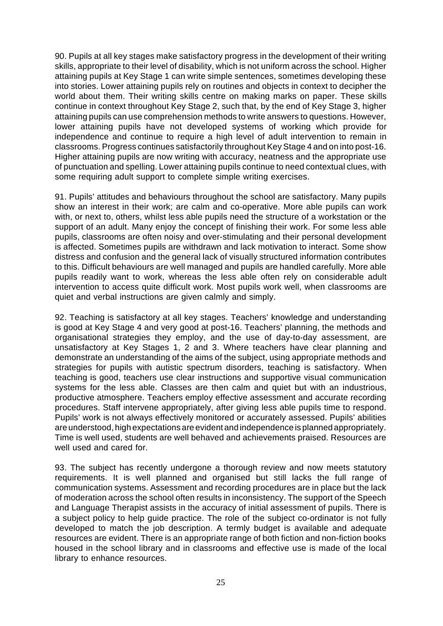90. Pupils at all key stages make satisfactory progress in the development of their writing skills, appropriate to their level of disability, which is not uniform across the school. Higher attaining pupils at Key Stage 1 can write simple sentences, sometimes developing these into stories. Lower attaining pupils rely on routines and objects in context to decipher the world about them. Their writing skills centre on making marks on paper. These skills continue in context throughout Key Stage 2, such that, by the end of Key Stage 3, higher attaining pupils can use comprehension methods to write answers to questions. However, lower attaining pupils have not developed systems of working which provide for independence and continue to require a high level of adult intervention to remain in classrooms. Progress continues satisfactorily throughout Key Stage 4 and on into post-16. Higher attaining pupils are now writing with accuracy, neatness and the appropriate use of punctuation and spelling. Lower attaining pupils continue to need contextual clues, with some requiring adult support to complete simple writing exercises.

91. Pupils' attitudes and behaviours throughout the school are satisfactory. Many pupils show an interest in their work; are calm and co-operative. More able pupils can work with, or next to, others, whilst less able pupils need the structure of a workstation or the support of an adult. Many enjoy the concept of finishing their work. For some less able pupils, classrooms are often noisy and over-stimulating and their personal development is affected. Sometimes pupils are withdrawn and lack motivation to interact. Some show distress and confusion and the general lack of visually structured information contributes to this. Difficult behaviours are well managed and pupils are handled carefully. More able pupils readily want to work, whereas the less able often rely on considerable adult intervention to access quite difficult work. Most pupils work well, when classrooms are quiet and verbal instructions are given calmly and simply.

92. Teaching is satisfactory at all key stages. Teachers' knowledge and understanding is good at Key Stage 4 and very good at post-16. Teachers' planning, the methods and organisational strategies they employ, and the use of day-to-day assessment, are unsatisfactory at Key Stages 1, 2 and 3. Where teachers have clear planning and demonstrate an understanding of the aims of the subject, using appropriate methods and strategies for pupils with autistic spectrum disorders, teaching is satisfactory. When teaching is good, teachers use clear instructions and supportive visual communication systems for the less able. Classes are then calm and quiet but with an industrious, productive atmosphere. Teachers employ effective assessment and accurate recording procedures. Staff intervene appropriately, after giving less able pupils time to respond. Pupils' work is not always effectively monitored or accurately assessed. Pupils' abilities are understood, high expectations are evident and independence is planned appropriately. Time is well used, students are well behaved and achievements praised. Resources are well used and cared for

93. The subject has recently undergone a thorough review and now meets statutory requirements. It is well planned and organised but still lacks the full range of communication systems. Assessment and recording procedures are in place but the lack of moderation across the school often results in inconsistency. The support of the Speech and Language Therapist assists in the accuracy of initial assessment of pupils. There is a subject policy to help guide practice. The role of the subject co-ordinator is not fully developed to match the job description. A termly budget is available and adequate resources are evident. There is an appropriate range of both fiction and non-fiction books housed in the school library and in classrooms and effective use is made of the local library to enhance resources.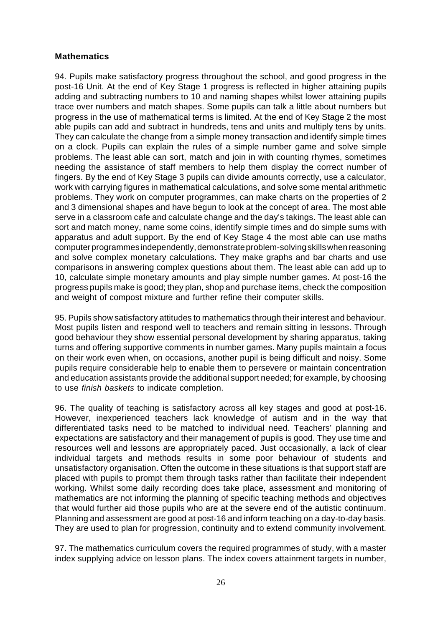### **Mathematics**

94. Pupils make satisfactory progress throughout the school, and good progress in the post-16 Unit. At the end of Key Stage 1 progress is reflected in higher attaining pupils adding and subtracting numbers to 10 and naming shapes whilst lower attaining pupils trace over numbers and match shapes. Some pupils can talk a little about numbers but progress in the use of mathematical terms is limited. At the end of Key Stage 2 the most able pupils can add and subtract in hundreds, tens and units and multiply tens by units. They can calculate the change from a simple money transaction and identify simple times on a clock. Pupils can explain the rules of a simple number game and solve simple problems. The least able can sort, match and join in with counting rhymes, sometimes needing the assistance of staff members to help them display the correct number of fingers. By the end of Key Stage 3 pupils can divide amounts correctly, use a calculator, work with carrying figures in mathematical calculations, and solve some mental arithmetic problems. They work on computer programmes, can make charts on the properties of 2 and 3 dimensional shapes and have begun to look at the concept of area. The most able serve in a classroom cafe and calculate change and the day's takings. The least able can sort and match money, name some coins, identify simple times and do simple sums with apparatus and adult support. By the end of Key Stage 4 the most able can use maths computer programmes independently, demonstrate problem-solving skills when reasoning and solve complex monetary calculations. They make graphs and bar charts and use comparisons in answering complex questions about them. The least able can add up to 10, calculate simple monetary amounts and play simple number games. At post-16 the progress pupils make is good; they plan, shop and purchase items, check the composition and weight of compost mixture and further refine their computer skills.

95. Pupils show satisfactory attitudes to mathematics through their interest and behaviour. Most pupils listen and respond well to teachers and remain sitting in lessons. Through good behaviour they show essential personal development by sharing apparatus, taking turns and offering supportive comments in number games. Many pupils maintain a focus on their work even when, on occasions, another pupil is being difficult and noisy. Some pupils require considerable help to enable them to persevere or maintain concentration and education assistants provide the additional support needed; for example, by choosing to use *finish baskets* to indicate completion.

96. The quality of teaching is satisfactory across all key stages and good at post-16. However, inexperienced teachers lack knowledge of autism and in the way that differentiated tasks need to be matched to individual need. Teachers' planning and expectations are satisfactory and their management of pupils is good. They use time and resources well and lessons are appropriately paced. Just occasionally, a lack of clear individual targets and methods results in some poor behaviour of students and unsatisfactory organisation. Often the outcome in these situations is that support staff are placed with pupils to prompt them through tasks rather than facilitate their independent working. Whilst some daily recording does take place, assessment and monitoring of mathematics are not informing the planning of specific teaching methods and objectives that would further aid those pupils who are at the severe end of the autistic continuum. Planning and assessment are good at post-16 and inform teaching on a day-to-day basis. They are used to plan for progression, continuity and to extend community involvement.

97. The mathematics curriculum covers the required programmes of study, with a master index supplying advice on lesson plans. The index covers attainment targets in number,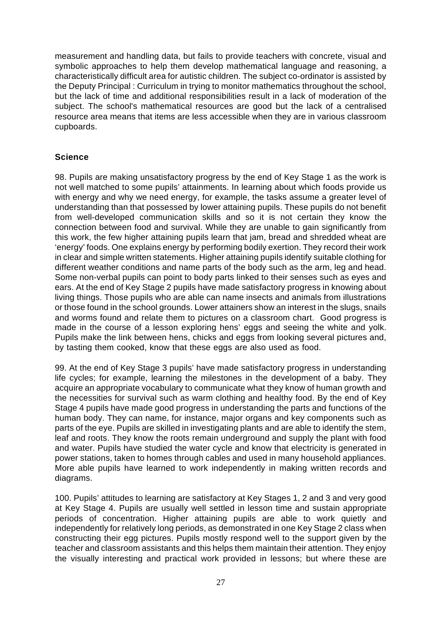measurement and handling data, but fails to provide teachers with concrete, visual and symbolic approaches to help them develop mathematical language and reasoning, a characteristically difficult area for autistic children. The subject co-ordinator is assisted by the Deputy Principal : Curriculum in trying to monitor mathematics throughout the school, but the lack of time and additional responsibilities result in a lack of moderation of the subject. The school's mathematical resources are good but the lack of a centralised resource area means that items are less accessible when they are in various classroom cupboards.

### **Science**

98. Pupils are making unsatisfactory progress by the end of Key Stage 1 as the work is not well matched to some pupils' attainments. In learning about which foods provide us with energy and why we need energy, for example, the tasks assume a greater level of understanding than that possessed by lower attaining pupils. These pupils do not benefit from well-developed communication skills and so it is not certain they know the connection between food and survival. While they are unable to gain significantly from this work, the few higher attaining pupils learn that jam, bread and shredded wheat are 'energy' foods. One explains energy by performing bodily exertion. They record their work in clear and simple written statements. Higher attaining pupils identify suitable clothing for different weather conditions and name parts of the body such as the arm, leg and head. Some non-verbal pupils can point to body parts linked to their senses such as eyes and ears. At the end of Key Stage 2 pupils have made satisfactory progress in knowing about living things. Those pupils who are able can name insects and animals from illustrations or those found in the school grounds. Lower attainers show an interest in the slugs, snails and worms found and relate them to pictures on a classroom chart. Good progress is made in the course of a lesson exploring hens' eggs and seeing the white and yolk. Pupils make the link between hens, chicks and eggs from looking several pictures and, by tasting them cooked, know that these eggs are also used as food.

99. At the end of Key Stage 3 pupils' have made satisfactory progress in understanding life cycles; for example, learning the milestones in the development of a baby. They acquire an appropriate vocabulary to communicate what they know of human growth and the necessities for survival such as warm clothing and healthy food. By the end of Key Stage 4 pupils have made good progress in understanding the parts and functions of the human body. They can name, for instance, major organs and key components such as parts of the eye. Pupils are skilled in investigating plants and are able to identify the stem, leaf and roots. They know the roots remain underground and supply the plant with food and water. Pupils have studied the water cycle and know that electricity is generated in power stations, taken to homes through cables and used in many household appliances. More able pupils have learned to work independently in making written records and diagrams.

100. Pupils' attitudes to learning are satisfactory at Key Stages 1, 2 and 3 and very good at Key Stage 4. Pupils are usually well settled in lesson time and sustain appropriate periods of concentration. Higher attaining pupils are able to work quietly and independently for relatively long periods, as demonstrated in one Key Stage 2 class when constructing their egg pictures. Pupils mostly respond well to the support given by the teacher and classroom assistants and this helps them maintain their attention. They enjoy the visually interesting and practical work provided in lessons; but where these are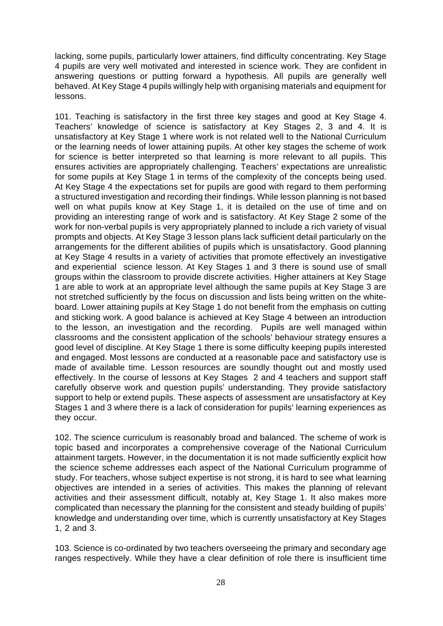lacking, some pupils, particularly lower attainers, find difficulty concentrating. Key Stage 4 pupils are very well motivated and interested in science work. They are confident in answering questions or putting forward a hypothesis. All pupils are generally well behaved. At Key Stage 4 pupils willingly help with organising materials and equipment for lessons.

101. Teaching is satisfactory in the first three key stages and good at Key Stage 4. Teachers' knowledge of science is satisfactory at Key Stages 2, 3 and 4. It is unsatisfactory at Key Stage 1 where work is not related well to the National Curriculum or the learning needs of lower attaining pupils. At other key stages the scheme of work for science is better interpreted so that learning is more relevant to all pupils. This ensures activities are appropriately challenging. Teachers' expectations are unrealistic for some pupils at Key Stage 1 in terms of the complexity of the concepts being used. At Key Stage 4 the expectations set for pupils are good with regard to them performing a structured investigation and recording their findings. While lesson planning is not based well on what pupils know at Key Stage 1, it is detailed on the use of time and on providing an interesting range of work and is satisfactory. At Key Stage 2 some of the work for non-verbal pupils is very appropriately planned to include a rich variety of visual prompts and objects. At Key Stage 3 lesson plans lack sufficient detail particularly on the arrangements for the different abilities of pupils which is unsatisfactory. Good planning at Key Stage 4 results in a variety of activities that promote effectively an investigative and experiential science lesson. At Key Stages 1 and 3 there is sound use of small groups within the classroom to provide discrete activities. Higher attainers at Key Stage 1 are able to work at an appropriate level although the same pupils at Key Stage 3 are not stretched sufficiently by the focus on discussion and lists being written on the whiteboard. Lower attaining pupils at Key Stage 1 do not benefit from the emphasis on cutting and sticking work. A good balance is achieved at Key Stage 4 between an introduction to the lesson, an investigation and the recording. Pupils are well managed within classrooms and the consistent application of the schools' behaviour strategy ensures a good level of discipline. At Key Stage 1 there is some difficulty keeping pupils interested and engaged. Most lessons are conducted at a reasonable pace and satisfactory use is made of available time. Lesson resources are soundly thought out and mostly used effectively. In the course of lessons at Key Stages 2 and 4 teachers and support staff carefully observe work and question pupils' understanding. They provide satisfactory support to help or extend pupils. These aspects of assessment are unsatisfactory at Key Stages 1 and 3 where there is a lack of consideration for pupils' learning experiences as they occur.

102. The science curriculum is reasonably broad and balanced. The scheme of work is topic based and incorporates a comprehensive coverage of the National Curriculum attainment targets. However, in the documentation it is not made sufficiently explicit how the science scheme addresses each aspect of the National Curriculum programme of study. For teachers, whose subject expertise is not strong, it is hard to see what learning objectives are intended in a series of activities. This makes the planning of relevant activities and their assessment difficult, notably at, Key Stage 1. It also makes more complicated than necessary the planning for the consistent and steady building of pupils' knowledge and understanding over time, which is currently unsatisfactory at Key Stages 1, 2 and 3.

103. Science is co-ordinated by two teachers overseeing the primary and secondary age ranges respectively. While they have a clear definition of role there is insufficient time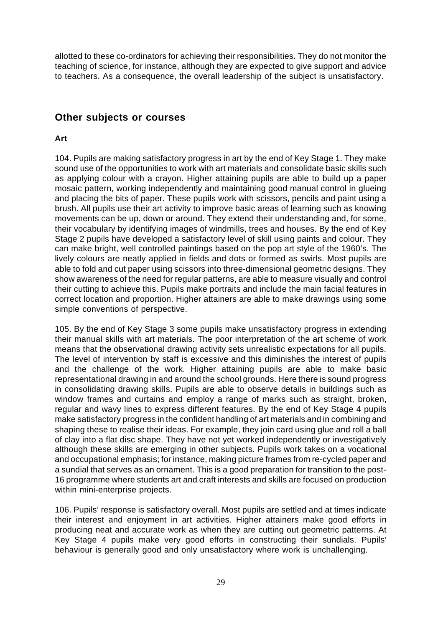allotted to these co-ordinators for achieving their responsibilities. They do not monitor the teaching of science, for instance, although they are expected to give support and advice to teachers. As a consequence, the overall leadership of the subject is unsatisfactory.

## **Other subjects or courses**

### **Art**

104. Pupils are making satisfactory progress in art by the end of Key Stage 1. They make sound use of the opportunities to work with art materials and consolidate basic skills such as applying colour with a crayon. Higher attaining pupils are able to build up a paper mosaic pattern, working independently and maintaining good manual control in glueing and placing the bits of paper. These pupils work with scissors, pencils and paint using a brush. All pupils use their art activity to improve basic areas of learning such as knowing movements can be up, down or around. They extend their understanding and, for some, their vocabulary by identifying images of windmills, trees and houses. By the end of Key Stage 2 pupils have developed a satisfactory level of skill using paints and colour. They can make bright, well controlled paintings based on the pop art style of the 1960's. The lively colours are neatly applied in fields and dots or formed as swirls. Most pupils are able to fold and cut paper using scissors into three-dimensional geometric designs. They show awareness of the need for regular patterns, are able to measure visually and control their cutting to achieve this. Pupils make portraits and include the main facial features in correct location and proportion. Higher attainers are able to make drawings using some simple conventions of perspective.

105. By the end of Key Stage 3 some pupils make unsatisfactory progress in extending their manual skills with art materials. The poor interpretation of the art scheme of work means that the observational drawing activity sets unrealistic expectations for all pupils. The level of intervention by staff is excessive and this diminishes the interest of pupils and the challenge of the work. Higher attaining pupils are able to make basic representational drawing in and around the school grounds. Here there is sound progress in consolidating drawing skills. Pupils are able to observe details in buildings such as window frames and curtains and employ a range of marks such as straight, broken, regular and wavy lines to express different features. By the end of Key Stage 4 pupils make satisfactory progress in the confident handling of art materials and in combining and shaping these to realise their ideas. For example, they join card using glue and roll a ball of clay into a flat disc shape. They have not yet worked independently or investigatively although these skills are emerging in other subjects. Pupils work takes on a vocational and occupational emphasis; for instance, making picture frames from re-cycled paper and a sundial that serves as an ornament. This is a good preparation for transition to the post-16 programme where students art and craft interests and skills are focused on production within mini-enterprise projects.

106. Pupils' response is satisfactory overall. Most pupils are settled and at times indicate their interest and enjoyment in art activities. Higher attainers make good efforts in producing neat and accurate work as when they are cutting out geometric patterns. At Key Stage 4 pupils make very good efforts in constructing their sundials. Pupils' behaviour is generally good and only unsatisfactory where work is unchallenging.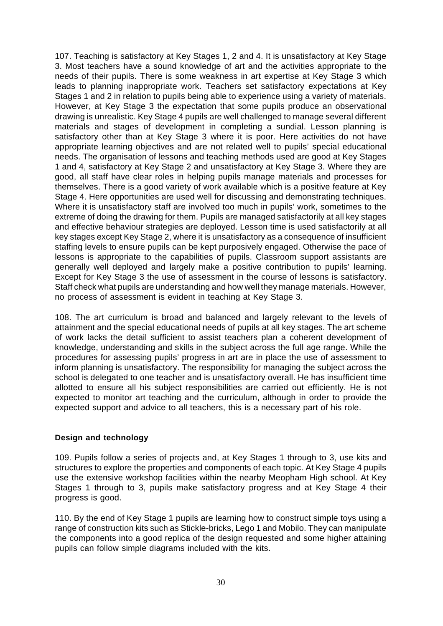107. Teaching is satisfactory at Key Stages 1, 2 and 4. It is unsatisfactory at Key Stage 3. Most teachers have a sound knowledge of art and the activities appropriate to the needs of their pupils. There is some weakness in art expertise at Key Stage 3 which leads to planning inappropriate work. Teachers set satisfactory expectations at Key Stages 1 and 2 in relation to pupils being able to experience using a variety of materials. However, at Key Stage 3 the expectation that some pupils produce an observational drawing is unrealistic. Key Stage 4 pupils are well challenged to manage several different materials and stages of development in completing a sundial. Lesson planning is satisfactory other than at Key Stage 3 where it is poor. Here activities do not have appropriate learning objectives and are not related well to pupils' special educational needs. The organisation of lessons and teaching methods used are good at Key Stages 1 and 4, satisfactory at Key Stage 2 and unsatisfactory at Key Stage 3. Where they are good, all staff have clear roles in helping pupils manage materials and processes for themselves. There is a good variety of work available which is a positive feature at Key Stage 4. Here opportunities are used well for discussing and demonstrating techniques. Where it is unsatisfactory staff are involved too much in pupils' work, sometimes to the extreme of doing the drawing for them. Pupils are managed satisfactorily at all key stages and effective behaviour strategies are deployed. Lesson time is used satisfactorily at all key stages except Key Stage 2, where it is unsatisfactory as a consequence of insufficient staffing levels to ensure pupils can be kept purposively engaged. Otherwise the pace of lessons is appropriate to the capabilities of pupils. Classroom support assistants are generally well deployed and largely make a positive contribution to pupils' learning. Except for Key Stage 3 the use of assessment in the course of lessons is satisfactory. Staff check what pupils are understanding and how well they manage materials. However, no process of assessment is evident in teaching at Key Stage 3.

108. The art curriculum is broad and balanced and largely relevant to the levels of attainment and the special educational needs of pupils at all key stages. The art scheme of work lacks the detail sufficient to assist teachers plan a coherent development of knowledge, understanding and skills in the subject across the full age range. While the procedures for assessing pupils' progress in art are in place the use of assessment to inform planning is unsatisfactory. The responsibility for managing the subject across the school is delegated to one teacher and is unsatisfactory overall. He has insufficient time allotted to ensure all his subject responsibilities are carried out efficiently. He is not expected to monitor art teaching and the curriculum, although in order to provide the expected support and advice to all teachers, this is a necessary part of his role.

### **Design and technology**

109. Pupils follow a series of projects and, at Key Stages 1 through to 3, use kits and structures to explore the properties and components of each topic. At Key Stage 4 pupils use the extensive workshop facilities within the nearby Meopham High school. At Key Stages 1 through to 3, pupils make satisfactory progress and at Key Stage 4 their progress is good.

110. By the end of Key Stage 1 pupils are learning how to construct simple toys using a range of construction kits such as Stickle-bricks, Lego 1 and Mobilo. They can manipulate the components into a good replica of the design requested and some higher attaining pupils can follow simple diagrams included with the kits.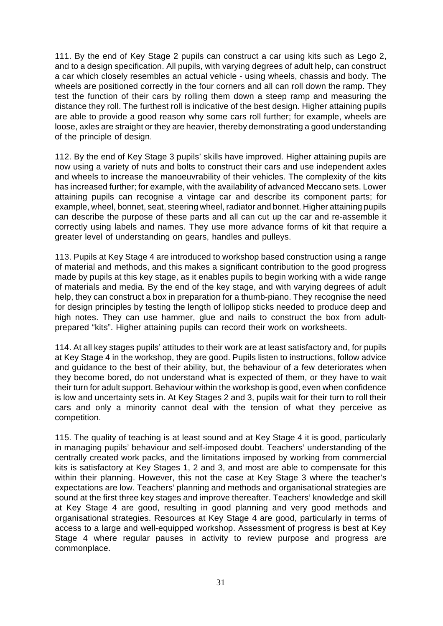111. By the end of Key Stage 2 pupils can construct a car using kits such as Lego 2, and to a design specification. All pupils, with varying degrees of adult help, can construct a car which closely resembles an actual vehicle - using wheels, chassis and body. The wheels are positioned correctly in the four corners and all can roll down the ramp. They test the function of their cars by rolling them down a steep ramp and measuring the distance they roll. The furthest roll is indicative of the best design. Higher attaining pupils are able to provide a good reason why some cars roll further; for example, wheels are loose, axles are straight or they are heavier, thereby demonstrating a good understanding of the principle of design.

112. By the end of Key Stage 3 pupils' skills have improved. Higher attaining pupils are now using a variety of nuts and bolts to construct their cars and use independent axles and wheels to increase the manoeuvrability of their vehicles. The complexity of the kits has increased further; for example, with the availability of advanced Meccano sets. Lower attaining pupils can recognise a vintage car and describe its component parts; for example, wheel, bonnet, seat, steering wheel, radiator and bonnet. Higher attaining pupils can describe the purpose of these parts and all can cut up the car and re-assemble it correctly using labels and names. They use more advance forms of kit that require a greater level of understanding on gears, handles and pulleys.

113. Pupils at Key Stage 4 are introduced to workshop based construction using a range of material and methods, and this makes a significant contribution to the good progress made by pupils at this key stage, as it enables pupils to begin working with a wide range of materials and media. By the end of the key stage, and with varying degrees of adult help, they can construct a box in preparation for a thumb-piano. They recognise the need for design principles by testing the length of lollipop sticks needed to produce deep and high notes. They can use hammer, glue and nails to construct the box from adultprepared "kits". Higher attaining pupils can record their work on worksheets.

114. At all key stages pupils' attitudes to their work are at least satisfactory and, for pupils at Key Stage 4 in the workshop, they are good. Pupils listen to instructions, follow advice and guidance to the best of their ability, but, the behaviour of a few deteriorates when they become bored, do not understand what is expected of them, or they have to wait their turn for adult support. Behaviour within the workshop is good, even when confidence is low and uncertainty sets in. At Key Stages 2 and 3, pupils wait for their turn to roll their cars and only a minority cannot deal with the tension of what they perceive as competition.

115. The quality of teaching is at least sound and at Key Stage 4 it is good, particularly in managing pupils' behaviour and self-imposed doubt. Teachers' understanding of the centrally created work packs, and the limitations imposed by working from commercial kits is satisfactory at Key Stages 1, 2 and 3, and most are able to compensate for this within their planning. However, this not the case at Key Stage 3 where the teacher's expectations are low. Teachers' planning and methods and organisational strategies are sound at the first three key stages and improve thereafter. Teachers' knowledge and skill at Key Stage 4 are good, resulting in good planning and very good methods and organisational strategies. Resources at Key Stage 4 are good, particularly in terms of access to a large and well-equipped workshop. Assessment of progress is best at Key Stage 4 where regular pauses in activity to review purpose and progress are commonplace.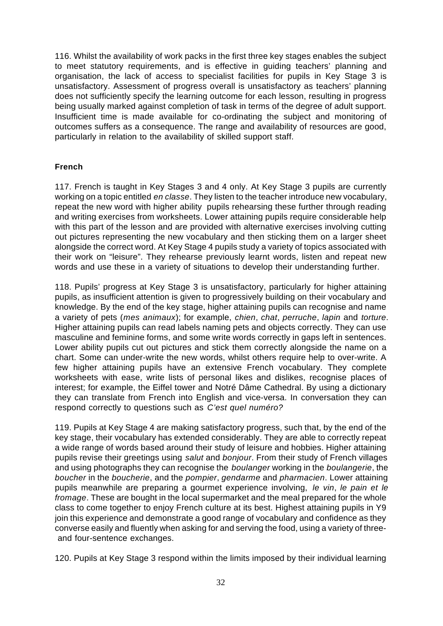116. Whilst the availability of work packs in the first three key stages enables the subject to meet statutory requirements, and is effective in guiding teachers' planning and organisation, the lack of access to specialist facilities for pupils in Key Stage 3 is unsatisfactory. Assessment of progress overall is unsatisfactory as teachers' planning does not sufficiently specify the learning outcome for each lesson, resulting in progress being usually marked against completion of task in terms of the degree of adult support. Insufficient time is made available for co-ordinating the subject and monitoring of outcomes suffers as a consequence. The range and availability of resources are good, particularly in relation to the availability of skilled support staff.

### **French**

117. French is taught in Key Stages 3 and 4 only. At Key Stage 3 pupils are currently working on a topic entitled *en classe*. They listen to the teacher introduce new vocabulary, repeat the new word with higher ability pupils rehearsing these further through reading and writing exercises from worksheets. Lower attaining pupils require considerable help with this part of the lesson and are provided with alternative exercises involving cutting out pictures representing the new vocabulary and then sticking them on a larger sheet alongside the correct word. At Key Stage 4 pupils study a variety of topics associated with their work on "leisure". They rehearse previously learnt words, listen and repeat new words and use these in a variety of situations to develop their understanding further.

118. Pupils' progress at Key Stage 3 is unsatisfactory, particularly for higher attaining pupils, as insufficient attention is given to progressively building on their vocabulary and knowledge. By the end of the key stage, higher attaining pupils can recognise and name a variety of pets (*mes animaux*); for example, *chien*, *chat*, *perruche*, *lapin* and *torture*. Higher attaining pupils can read labels naming pets and objects correctly. They can use masculine and feminine forms, and some write words correctly in gaps left in sentences. Lower ability pupils cut out pictures and stick them correctly alongside the name on a chart. Some can under-write the new words, whilst others require help to over-write. A few higher attaining pupils have an extensive French vocabulary. They complete worksheets with ease, write lists of personal likes and dislikes, recognise places of interest; for example, the Eiffel tower and Notré Dâme Cathedral. By using a dictionary they can translate from French into English and vice-versa. In conversation they can respond correctly to questions such as *C'est quel numéro?*

119. Pupils at Key Stage 4 are making satisfactory progress, such that, by the end of the key stage, their vocabulary has extended considerably. They are able to correctly repeat a wide range of words based around their study of leisure and hobbies. Higher attaining pupils revise their greetings using *salut* and *bonjour*. From their study of French villages and using photographs they can recognise the *boulanger* working in the *boulangerie*, the *boucher* in the *boucherie*, and the *pompier*, *gendarme* and *pharmacien*. Lower attaining pupils meanwhile are preparing a gourmet experience involving, *le vin*, *le pain et le fromage*. These are bought in the local supermarket and the meal prepared for the whole class to come together to enjoy French culture at its best. Highest attaining pupils in Y9 join this experience and demonstrate a good range of vocabulary and confidence as they converse easily and fluently when asking for and serving the food, using a variety of three and four-sentence exchanges.

120. Pupils at Key Stage 3 respond within the limits imposed by their individual learning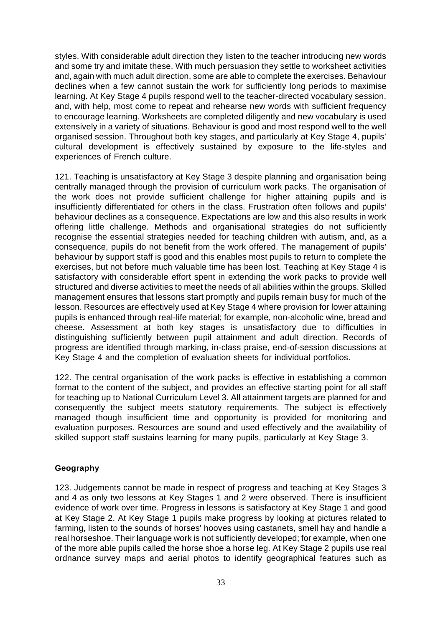styles. With considerable adult direction they listen to the teacher introducing new words and some try and imitate these. With much persuasion they settle to worksheet activities and, again with much adult direction, some are able to complete the exercises. Behaviour declines when a few cannot sustain the work for sufficiently long periods to maximise learning. At Key Stage 4 pupils respond well to the teacher-directed vocabulary session, and, with help, most come to repeat and rehearse new words with sufficient frequency to encourage learning. Worksheets are completed diligently and new vocabulary is used extensively in a variety of situations. Behaviour is good and most respond well to the well organised session. Throughout both key stages, and particularly at Key Stage 4, pupils' cultural development is effectively sustained by exposure to the life-styles and experiences of French culture.

121. Teaching is unsatisfactory at Key Stage 3 despite planning and organisation being centrally managed through the provision of curriculum work packs. The organisation of the work does not provide sufficient challenge for higher attaining pupils and is insufficiently differentiated for others in the class. Frustration often follows and pupils' behaviour declines as a consequence. Expectations are low and this also results in work offering little challenge. Methods and organisational strategies do not sufficiently recognise the essential strategies needed for teaching children with autism, and, as a consequence, pupils do not benefit from the work offered. The management of pupils' behaviour by support staff is good and this enables most pupils to return to complete the exercises, but not before much valuable time has been lost. Teaching at Key Stage 4 is satisfactory with considerable effort spent in extending the work packs to provide well structured and diverse activities to meet the needs of all abilities within the groups. Skilled management ensures that lessons start promptly and pupils remain busy for much of the lesson. Resources are effectively used at Key Stage 4 where provision for lower attaining pupils is enhanced through real-life material; for example, non-alcoholic wine, bread and cheese. Assessment at both key stages is unsatisfactory due to difficulties in distinguishing sufficiently between pupil attainment and adult direction. Records of progress are identified through marking, in-class praise, end-of-session discussions at Key Stage 4 and the completion of evaluation sheets for individual portfolios.

122. The central organisation of the work packs is effective in establishing a common format to the content of the subject, and provides an effective starting point for all staff for teaching up to National Curriculum Level 3. All attainment targets are planned for and consequently the subject meets statutory requirements. The subject is effectively managed though insufficient time and opportunity is provided for monitoring and evaluation purposes. Resources are sound and used effectively and the availability of skilled support staff sustains learning for many pupils, particularly at Key Stage 3.

### **Geography**

123. Judgements cannot be made in respect of progress and teaching at Key Stages 3 and 4 as only two lessons at Key Stages 1 and 2 were observed. There is insufficient evidence of work over time. Progress in lessons is satisfactory at Key Stage 1 and good at Key Stage 2. At Key Stage 1 pupils make progress by looking at pictures related to farming, listen to the sounds of horses' hooves using castanets, smell hay and handle a real horseshoe. Their language work is not sufficiently developed; for example, when one of the more able pupils called the horse shoe a horse leg. At Key Stage 2 pupils use real ordnance survey maps and aerial photos to identify geographical features such as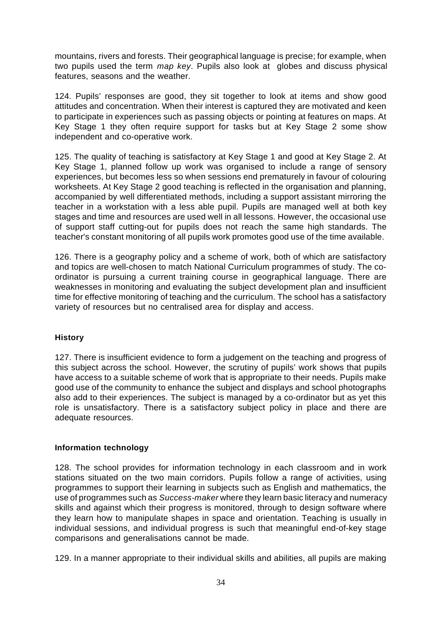mountains, rivers and forests. Their geographical language is precise; for example, when two pupils used the term *map key*. Pupils also look at globes and discuss physical features, seasons and the weather.

124. Pupils' responses are good, they sit together to look at items and show good attitudes and concentration. When their interest is captured they are motivated and keen to participate in experiences such as passing objects or pointing at features on maps. At Key Stage 1 they often require support for tasks but at Key Stage 2 some show independent and co-operative work.

125. The quality of teaching is satisfactory at Key Stage 1 and good at Key Stage 2. At Key Stage 1, planned follow up work was organised to include a range of sensory experiences, but becomes less so when sessions end prematurely in favour of colouring worksheets. At Key Stage 2 good teaching is reflected in the organisation and planning, accompanied by well differentiated methods, including a support assistant mirroring the teacher in a workstation with a less able pupil. Pupils are managed well at both key stages and time and resources are used well in all lessons. However, the occasional use of support staff cutting-out for pupils does not reach the same high standards. The teacher's constant monitoring of all pupils work promotes good use of the time available.

126. There is a geography policy and a scheme of work, both of which are satisfactory and topics are well-chosen to match National Curriculum programmes of study. The coordinator is pursuing a current training course in geographical language. There are weaknesses in monitoring and evaluating the subject development plan and insufficient time for effective monitoring of teaching and the curriculum. The school has a satisfactory variety of resources but no centralised area for display and access.

### **History**

127. There is insufficient evidence to form a judgement on the teaching and progress of this subject across the school. However, the scrutiny of pupils' work shows that pupils have access to a suitable scheme of work that is appropriate to their needs. Pupils make good use of the community to enhance the subject and displays and school photographs also add to their experiences. The subject is managed by a co-ordinator but as yet this role is unsatisfactory. There is a satisfactory subject policy in place and there are adequate resources.

### **Information technology**

128. The school provides for information technology in each classroom and in work stations situated on the two main corridors. Pupils follow a range of activities, using programmes to support their learning in subjects such as English and mathematics, the use of programmes such as *Success-maker* where they learn basic literacy and numeracy skills and against which their progress is monitored, through to design software where they learn how to manipulate shapes in space and orientation. Teaching is usually in individual sessions, and individual progress is such that meaningful end-of-key stage comparisons and generalisations cannot be made.

129. In a manner appropriate to their individual skills and abilities, all pupils are making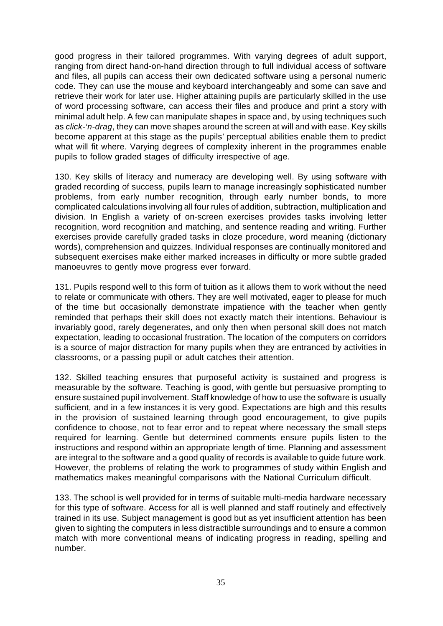good progress in their tailored programmes. With varying degrees of adult support, ranging from direct hand-on-hand direction through to full individual access of software and files, all pupils can access their own dedicated software using a personal numeric code. They can use the mouse and keyboard interchangeably and some can save and retrieve their work for later use. Higher attaining pupils are particularly skilled in the use of word processing software, can access their files and produce and print a story with minimal adult help. A few can manipulate shapes in space and, by using techniques such as *click-'n-drag*, they can move shapes around the screen at will and with ease. Key skills become apparent at this stage as the pupils' perceptual abilities enable them to predict what will fit where. Varying degrees of complexity inherent in the programmes enable pupils to follow graded stages of difficulty irrespective of age.

130. Key skills of literacy and numeracy are developing well. By using software with graded recording of success, pupils learn to manage increasingly sophisticated number problems, from early number recognition, through early number bonds, to more complicated calculations involving all four rules of addition, subtraction, multiplication and division. In English a variety of on-screen exercises provides tasks involving letter recognition, word recognition and matching, and sentence reading and writing. Further exercises provide carefully graded tasks in cloze procedure, word meaning (dictionary words), comprehension and quizzes. Individual responses are continually monitored and subsequent exercises make either marked increases in difficulty or more subtle graded manoeuvres to gently move progress ever forward.

131. Pupils respond well to this form of tuition as it allows them to work without the need to relate or communicate with others. They are well motivated, eager to please for much of the time but occasionally demonstrate impatience with the teacher when gently reminded that perhaps their skill does not exactly match their intentions. Behaviour is invariably good, rarely degenerates, and only then when personal skill does not match expectation, leading to occasional frustration. The location of the computers on corridors is a source of major distraction for many pupils when they are entranced by activities in classrooms, or a passing pupil or adult catches their attention.

132. Skilled teaching ensures that purposeful activity is sustained and progress is measurable by the software. Teaching is good, with gentle but persuasive prompting to ensure sustained pupil involvement. Staff knowledge of how to use the software is usually sufficient, and in a few instances it is very good. Expectations are high and this results in the provision of sustained learning through good encouragement, to give pupils confidence to choose, not to fear error and to repeat where necessary the small steps required for learning. Gentle but determined comments ensure pupils listen to the instructions and respond within an appropriate length of time. Planning and assessment are integral to the software and a good quality of records is available to guide future work. However, the problems of relating the work to programmes of study within English and mathematics makes meaningful comparisons with the National Curriculum difficult.

133. The school is well provided for in terms of suitable multi-media hardware necessary for this type of software. Access for all is well planned and staff routinely and effectively trained in its use. Subject management is good but as yet insufficient attention has been given to sighting the computers in less distractible surroundings and to ensure a common match with more conventional means of indicating progress in reading, spelling and number.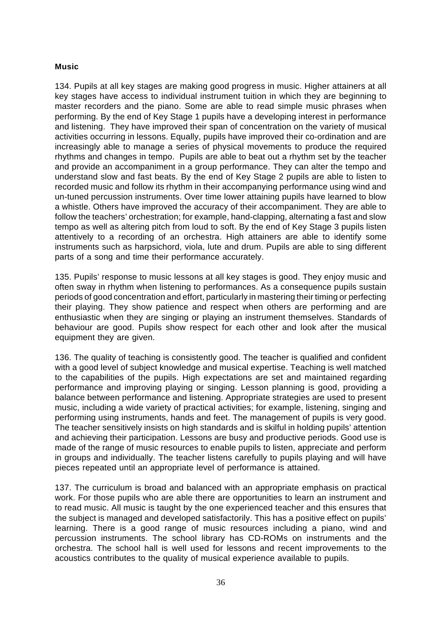### **Music**

134. Pupils at all key stages are making good progress in music. Higher attainers at all key stages have access to individual instrument tuition in which they are beginning to master recorders and the piano. Some are able to read simple music phrases when performing. By the end of Key Stage 1 pupils have a developing interest in performance and listening. They have improved their span of concentration on the variety of musical activities occurring in lessons. Equally, pupils have improved their co-ordination and are increasingly able to manage a series of physical movements to produce the required rhythms and changes in tempo. Pupils are able to beat out a rhythm set by the teacher and provide an accompaniment in a group performance. They can alter the tempo and understand slow and fast beats. By the end of Key Stage 2 pupils are able to listen to recorded music and follow its rhythm in their accompanying performance using wind and un-tuned percussion instruments. Over time lower attaining pupils have learned to blow a whistle. Others have improved the accuracy of their accompaniment. They are able to follow the teachers' orchestration; for example, hand-clapping, alternating a fast and slow tempo as well as altering pitch from loud to soft. By the end of Key Stage 3 pupils listen attentively to a recording of an orchestra. High attainers are able to identify some instruments such as harpsichord, viola, lute and drum. Pupils are able to sing different parts of a song and time their performance accurately.

135. Pupils' response to music lessons at all key stages is good. They enjoy music and often sway in rhythm when listening to performances. As a consequence pupils sustain periods of good concentration and effort, particularly in mastering their timing or perfecting their playing. They show patience and respect when others are performing and are enthusiastic when they are singing or playing an instrument themselves. Standards of behaviour are good. Pupils show respect for each other and look after the musical equipment they are given.

136. The quality of teaching is consistently good. The teacher is qualified and confident with a good level of subject knowledge and musical expertise. Teaching is well matched to the capabilities of the pupils. High expectations are set and maintained regarding performance and improving playing or singing. Lesson planning is good, providing a balance between performance and listening. Appropriate strategies are used to present music, including a wide variety of practical activities; for example, listening, singing and performing using instruments, hands and feet. The management of pupils is very good. The teacher sensitively insists on high standards and is skilful in holding pupils' attention and achieving their participation. Lessons are busy and productive periods. Good use is made of the range of music resources to enable pupils to listen, appreciate and perform in groups and individually. The teacher listens carefully to pupils playing and will have pieces repeated until an appropriate level of performance is attained.

137. The curriculum is broad and balanced with an appropriate emphasis on practical work. For those pupils who are able there are opportunities to learn an instrument and to read music. All music is taught by the one experienced teacher and this ensures that the subject is managed and developed satisfactorily. This has a positive effect on pupils' learning. There is a good range of music resources including a piano, wind and percussion instruments. The school library has CD-ROMs on instruments and the orchestra. The school hall is well used for lessons and recent improvements to the acoustics contributes to the quality of musical experience available to pupils.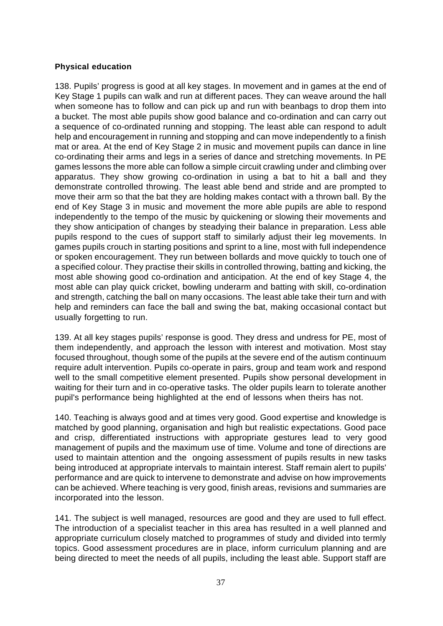### **Physical education**

138. Pupils' progress is good at all key stages. In movement and in games at the end of Key Stage 1 pupils can walk and run at different paces. They can weave around the hall when someone has to follow and can pick up and run with beanbags to drop them into a bucket. The most able pupils show good balance and co-ordination and can carry out a sequence of co-ordinated running and stopping. The least able can respond to adult help and encouragement in running and stopping and can move independently to a finish mat or area. At the end of Key Stage 2 in music and movement pupils can dance in line co-ordinating their arms and legs in a series of dance and stretching movements. In PE games lessons the more able can follow a simple circuit crawling under and climbing over apparatus. They show growing co-ordination in using a bat to hit a ball and they demonstrate controlled throwing. The least able bend and stride and are prompted to move their arm so that the bat they are holding makes contact with a thrown ball. By the end of Key Stage 3 in music and movement the more able pupils are able to respond independently to the tempo of the music by quickening or slowing their movements and they show anticipation of changes by steadying their balance in preparation. Less able pupils respond to the cues of support staff to similarly adjust their leg movements. In games pupils crouch in starting positions and sprint to a line, most with full independence or spoken encouragement. They run between bollards and move quickly to touch one of a specified colour. They practise their skills in controlled throwing, batting and kicking, the most able showing good co-ordination and anticipation. At the end of key Stage 4, the most able can play quick cricket, bowling underarm and batting with skill, co-ordination and strength, catching the ball on many occasions. The least able take their turn and with help and reminders can face the ball and swing the bat, making occasional contact but usually forgetting to run.

139. At all key stages pupils' response is good. They dress and undress for PE, most of them independently, and approach the lesson with interest and motivation. Most stay focused throughout, though some of the pupils at the severe end of the autism continuum require adult intervention. Pupils co-operate in pairs, group and team work and respond well to the small competitive element presented. Pupils show personal development in waiting for their turn and in co-operative tasks. The older pupils learn to tolerate another pupil's performance being highlighted at the end of lessons when theirs has not.

140. Teaching is always good and at times very good. Good expertise and knowledge is matched by good planning, organisation and high but realistic expectations. Good pace and crisp, differentiated instructions with appropriate gestures lead to very good management of pupils and the maximum use of time. Volume and tone of directions are used to maintain attention and the ongoing assessment of pupils results in new tasks being introduced at appropriate intervals to maintain interest. Staff remain alert to pupils' performance and are quick to intervene to demonstrate and advise on how improvements can be achieved. Where teaching is very good, finish areas, revisions and summaries are incorporated into the lesson.

141. The subject is well managed, resources are good and they are used to full effect. The introduction of a specialist teacher in this area has resulted in a well planned and appropriate curriculum closely matched to programmes of study and divided into termly topics. Good assessment procedures are in place, inform curriculum planning and are being directed to meet the needs of all pupils, including the least able. Support staff are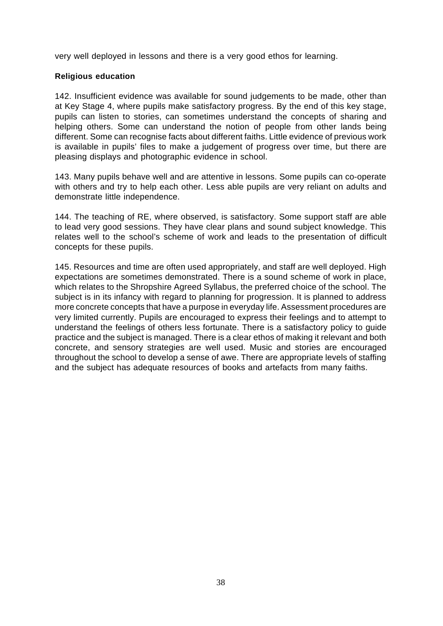very well deployed in lessons and there is a very good ethos for learning.

### **Religious education**

142. Insufficient evidence was available for sound judgements to be made, other than at Key Stage 4, where pupils make satisfactory progress. By the end of this key stage, pupils can listen to stories, can sometimes understand the concepts of sharing and helping others. Some can understand the notion of people from other lands being different. Some can recognise facts about different faiths. Little evidence of previous work is available in pupils' files to make a judgement of progress over time, but there are pleasing displays and photographic evidence in school.

143. Many pupils behave well and are attentive in lessons. Some pupils can co-operate with others and try to help each other. Less able pupils are very reliant on adults and demonstrate little independence.

144. The teaching of RE, where observed, is satisfactory. Some support staff are able to lead very good sessions. They have clear plans and sound subject knowledge. This relates well to the school's scheme of work and leads to the presentation of difficult concepts for these pupils.

145. Resources and time are often used appropriately, and staff are well deployed. High expectations are sometimes demonstrated. There is a sound scheme of work in place, which relates to the Shropshire Agreed Syllabus, the preferred choice of the school. The subject is in its infancy with regard to planning for progression. It is planned to address more concrete concepts that have a purpose in everyday life. Assessment procedures are very limited currently. Pupils are encouraged to express their feelings and to attempt to understand the feelings of others less fortunate. There is a satisfactory policy to guide practice and the subject is managed. There is a clear ethos of making it relevant and both concrete, and sensory strategies are well used. Music and stories are encouraged throughout the school to develop a sense of awe. There are appropriate levels of staffing and the subject has adequate resources of books and artefacts from many faiths.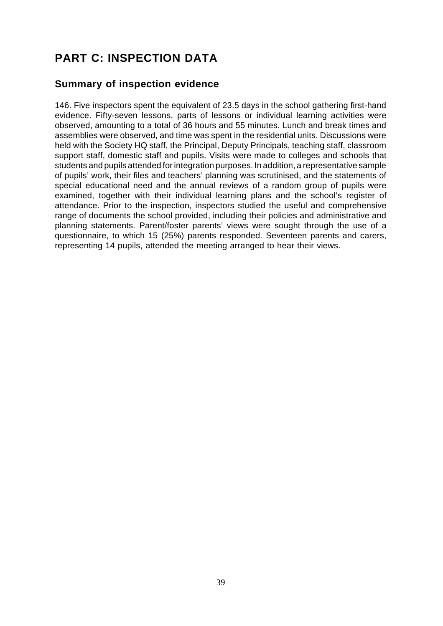# **PART C: INSPECTION DATA**

## **Summary of inspection evidence**

146. Five inspectors spent the equivalent of 23.5 days in the school gathering first-hand evidence. Fifty-seven lessons, parts of lessons or individual learning activities were observed, amounting to a total of 36 hours and 55 minutes. Lunch and break times and assemblies were observed, and time was spent in the residential units. Discussions were held with the Society HQ staff, the Principal, Deputy Principals, teaching staff, classroom support staff, domestic staff and pupils. Visits were made to colleges and schools that students and pupils attended for integration purposes. In addition, a representative sample of pupils' work, their files and teachers' planning was scrutinised, and the statements of special educational need and the annual reviews of a random group of pupils were examined, together with their individual learning plans and the school's register of attendance. Prior to the inspection, inspectors studied the useful and comprehensive range of documents the school provided, including their policies and administrative and planning statements. Parent/foster parents' views were sought through the use of a questionnaire, to which 15 (25%) parents responded. Seventeen parents and carers, representing 14 pupils, attended the meeting arranged to hear their views.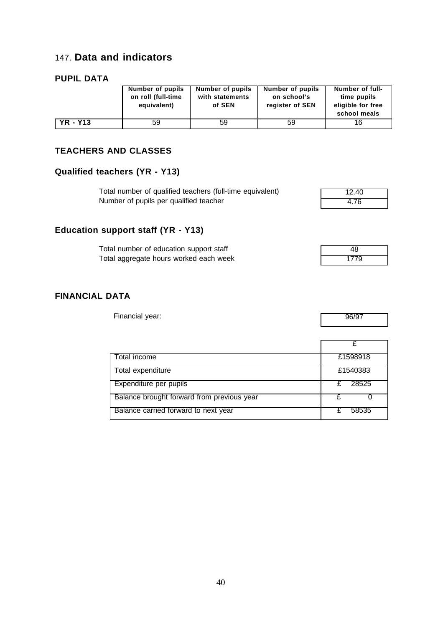## 147. **Data and indicators**

### **PUPIL DATA**

|                 | Number of pupils   | Number of pupils | Number of pupils | Number of full-                   |
|-----------------|--------------------|------------------|------------------|-----------------------------------|
|                 | on roll (full-time | with statements  | on school's      | time pupils                       |
|                 | equivalent)        | of SEN           | register of SEN  | eligible for free<br>school meals |
|                 |                    |                  |                  |                                   |
| <b>YR - Y13</b> | 59                 | 59               | 59               | 16                                |

### **TEACHERS AND CLASSES**

## **Qualified teachers (YR - Y13)**

| Total number of qualified teachers (full-time equivalent) | 12.40 |
|-----------------------------------------------------------|-------|
| Number of pupils per qualified teacher                    | 4.76  |

# **Education support staff (YR - Y13)**

| Total number of education support staff |      |
|-----------------------------------------|------|
| Total aggregate hours worked each week  | 1779 |

### **FINANCIAL DATA**

Financial year: 96/97

| Total income                               | £1598918 |
|--------------------------------------------|----------|
| Total expenditure                          | £1540383 |
| Expenditure per pupils                     | 28525    |
| Balance brought forward from previous year |          |
| Balance carried forward to next year       | 58535    |